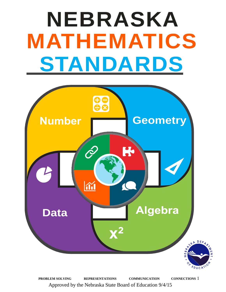# **NEBRASKA MATHEMATICS STANDARDS**



**PROBLEM SOLVING REPRESENTATIONS COMMUNICATION CONNECTIONS** Approved by the Nebraska State Board of Education 9/4/15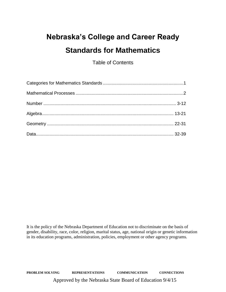## **Nebraska's College and Career Ready Standards for Mathematics**

Table of Contents

It is the policy of the Nebraska Department of Education not to discriminate on the basis of gender, disability, race, color, religion, marital status, age, national origin or genetic information in its education programs, administration, policies, employment or other agency programs.

**PROBLEM SOLVING REPRESENTATIONS COMMUNICATION CONNECTIONS** Approved by the Nebraska State Board of Education 9/4/15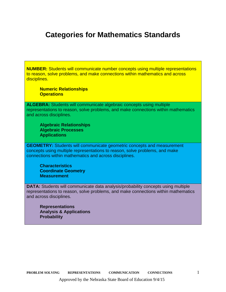### **Categories for Mathematics Standards**

**NUMBER:** Students will communicate number concepts using multiple representations to reason, solve problems, and make connections within mathematics and across disciplines.

**Numeric Relationships Operations**

**ALGEBRA:** Students will communicate algebraic concepts using multiple representations to reason, solve problems, and make connections within mathematics and across disciplines.

**Algebraic Relationships Algebraic Processes Applications**

**GEOMETRY:** Students will communicate geometric concepts and measurement concepts using multiple representations to reason, solve problems, and make connections within mathematics and across disciplines.

**Characteristics Coordinate Geometry Measurement**

**DATA:** Students will communicate data analysis/probability concepts using multiple representations to reason, solve problems, and make connections within mathematics and across disciplines.

**Representations Analysis & Applications Probability**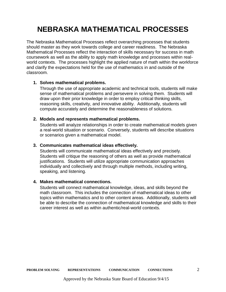## **NEBRASKA MATHEMATICAL PROCESSES**

The Nebraska Mathematical Processes reflect overarching processes that students should master as they work towards college and career readiness. The Nebraska Mathematical Processes reflect the interaction of skills necessary for success in math coursework as well as the ability to apply math knowledge and processes within realworld contexts. The processes highlight the applied nature of math within the workforce and clarify the expectations held for the use of mathematics in and outside of the classroom.

#### **1. Solves mathematical problems.**

Through the use of appropriate academic and technical tools, students will make sense of mathematical problems and persevere in solving them. Students will draw upon their prior knowledge in order to employ critical thinking skills, reasoning skills, creativity, and innovative ability. Additionally, students will compute accurately and determine the reasonableness of solutions.

#### **2. Models and represents mathematical problems.**

Students will analyze relationships in order to create mathematical models given a real-world situation or scenario. Conversely, students will describe situations or scenarios given a mathematical model.

#### **3. Communicates mathematical ideas effectively.**

Students will communicate mathematical ideas effectively and precisely. Students will critique the reasoning of others as well as provide mathematical justifications. Students will utilize appropriate communication approaches individually and collectively and through multiple methods, including writing, speaking, and listening.

#### **4. Makes mathematical connections.**

Students will connect mathematical knowledge, ideas, and skills beyond the math classroom. This includes the connection of mathematical ideas to other topics within mathematics and to other content areas. Additionally, students will be able to describe the connection of mathematical knowledge and skills to their career interest as well as within authentic/real-world contexts.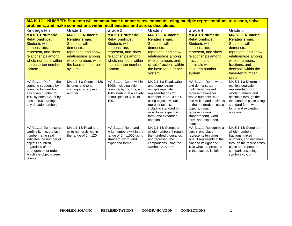| Kindergarten                                                                                                                                                                                                           | Grade 1                                                                                                                                                                                   | Grade 2                                                                                                                                                                                   | Grade 3                                                                                                                                                                                                                                             | Grade 4                                                                                                                                                                                                                                                                  | Grade 5                                                                                                                                                                                                                  |
|------------------------------------------------------------------------------------------------------------------------------------------------------------------------------------------------------------------------|-------------------------------------------------------------------------------------------------------------------------------------------------------------------------------------------|-------------------------------------------------------------------------------------------------------------------------------------------------------------------------------------------|-----------------------------------------------------------------------------------------------------------------------------------------------------------------------------------------------------------------------------------------------------|--------------------------------------------------------------------------------------------------------------------------------------------------------------------------------------------------------------------------------------------------------------------------|--------------------------------------------------------------------------------------------------------------------------------------------------------------------------------------------------------------------------|
| <b>MA.0.1.1 Numeric</b><br><b>Relationships:</b><br>Students will<br>demonstrate,<br>represent, and show<br>relationships among<br>whole numbers within<br>the base-ten number<br>system.                              | <b>MA.1.1.1 Numeric</b><br><b>Relationships:</b><br>Students will<br>demonstrate,<br>represent, and show<br>relationships among<br>whole numbers within<br>the base-ten number<br>system. | <b>MA.2.1.1 Numeric</b><br><b>Relationships:</b><br>Students will<br>demonstrate,<br>represent, and show<br>relationships among<br>whole numbers within<br>the base-ten number<br>system. | <b>MA.3.1.1 Numeric</b><br><b>Relationships:</b><br>Students will<br>demonstrate,<br>represent, and show<br>relationships among<br>whole numbers and<br>simple fractions within<br>the base-ten number<br>system.                                   | <b>MA.4.1.1 Numeric</b><br><b>Relationships:</b><br>Students will<br>demonstrate,<br>represent, and show<br>relationships among<br>fractions and<br>decimals within the<br>base-ten number<br>system.                                                                    | <b>MA.5.1.1 Numeric</b><br><b>Relationships:</b><br>Students will<br>demonstrate,<br>represent, and show<br>relationships among<br>whole numbers,<br>fractions, and<br>decimals within the<br>base-ten number<br>system. |
| MA 0.1.1.a Perform the<br>counting sequence by<br>counting forward from<br>any given number to<br>100, by ones. Count by<br>tens to 100 starting at<br>any decade number.                                              | MA 1.1.1.a Count to 120<br>by ones and tens,<br>starting at any given<br>number.                                                                                                          | MA 2.1.1.a Count within<br>1000, including skip-<br>counting by 5s, 10s, and<br>100s starting at a variety<br>of multiples of 5, 10 or<br>100.                                            | MA 3.1.1.a Read, write<br>and demonstrate<br>multiple equivalent<br>representations for<br>numbers up to 100,000<br>using objects, visual<br>representations,<br>including standard form,<br>word form, expanded<br>form, and expanded<br>notation. | MA 4.1.1.a Read, write,<br>and demonstrate<br>multiple equivalent<br>representations for<br>whole numbers up to<br>one million and decimals<br>to the hundredths, using<br>objects, visual<br>representations,<br>standard form, word<br>form, and expanded<br>notation. | MA 5.1.1.a Determine<br>multiple equivalent<br>representations for<br>whole numbers and<br>decimals through the<br>thousandths place using<br>standard form, word<br>form, and expanded<br>notation.                     |
| MA 0.1.1.b Demonstrate<br>cardinality ( <i>i.e.</i> the last<br>number name said<br>indicates the number of<br>objects counted),<br>regardless of the<br>arrangement or order in<br>which the objects were<br>counted. | MA 1.1.1.b Read and<br>write numerals within<br>the range of $0 - 120$ .                                                                                                                  | MA 2.1.1.b Read and<br>write numbers within the<br>range of $0 - 1,000$ using<br>standard, word, and<br>expanded forms.                                                                   | MA 3.1.1.b Compare<br>whole numbers through<br>the hundred thousands<br>and represent the<br>comparisons using the<br>symbols $>$ , $<$ or $=$ .                                                                                                    | MA 4.1.1.b Recognize a<br>digit in one place<br>represents ten times<br>what it represents in the<br>place to its right and<br>1/10 what it represents<br>in the place to its left.                                                                                      | MA 5.1.1.b Compare<br>whole numbers,<br>fractions, mixed<br>numbers, and decimals<br>through the thousandths<br>place and represent<br>comparisons using<br>symbols $\lt$ , $\gt$ , or $=$ .                             |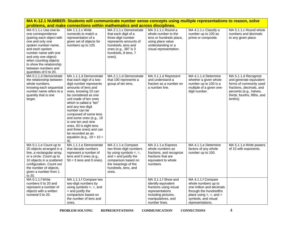|                                                                                                                                                                                                                                                                                               | problems, and make connections within mathematics and across disciplines.                                                                                                                                                                                                                                                                                                                                                                     |                                                                                                                                                                                        |                                                                                                                                                       | <u>MA N-12.1 NUMBER: Students Will Communicate number sense concepts using multiple representations to reason, solve</u>                                                      |                                                                                                                                                                              |
|-----------------------------------------------------------------------------------------------------------------------------------------------------------------------------------------------------------------------------------------------------------------------------------------------|-----------------------------------------------------------------------------------------------------------------------------------------------------------------------------------------------------------------------------------------------------------------------------------------------------------------------------------------------------------------------------------------------------------------------------------------------|----------------------------------------------------------------------------------------------------------------------------------------------------------------------------------------|-------------------------------------------------------------------------------------------------------------------------------------------------------|-------------------------------------------------------------------------------------------------------------------------------------------------------------------------------|------------------------------------------------------------------------------------------------------------------------------------------------------------------------------|
| MA 0.1.1.c Use one-to-<br>one correspondence<br>(pairing each object with<br>one and only one<br>spoken number name,<br>and each spoken<br>number name with one<br>and only one object)<br>when counting objects<br>to show the relationship<br>between numbers and<br>quantities of 0 to 20. | MA 1.1.1.c Write<br>numerals to match a<br>representation of a<br>given set of objects for<br>numbers up to 120.                                                                                                                                                                                                                                                                                                                              | MA 2.1.1.c Demonstrate<br>that each digit of a<br>three-digit number<br>represents amounts of<br>hundreds, tens and<br>ones (e.g., 387 is 3<br>hundreds, 8 tens, 7<br>ones).           | MA 3.1.1.c Round a<br>whole number to the<br>tens or hundreds place,<br>using place value<br>understanding or a<br>visual representation.             | MA 4.1.1.c Classify a<br>number up to 100 as<br>prime or composite.                                                                                                           | MA 5.1.1.c Round whole<br>numbers and decimals<br>to any given place.                                                                                                        |
| MA 0.1.1.d Demonstrate<br>the relationship between<br>whole numbers,<br>knowing each sequential<br>number name refers to a<br>quantity that is one<br>larger.                                                                                                                                 | MA 1.1.1.d Demonstrate<br>that each digit of a two-<br>digit number represents<br>amounts of tens and<br>ones, knowing 10 can<br>be considered as one<br>unit made of ten ones<br>which is called a "ten"<br>and any two-digit<br>number can be<br>composed of some tens<br>and some ones (e.g., 19<br>is one ten and nine<br>ones, 83 is eight tens<br>and three ones) and can<br>be recorded as an<br>equation (e.g., $19 = 10 +$<br>$9)$ . | MA 2.1.1.d Demonstrate<br>that 100 represents a<br>group of ten tens.                                                                                                                  | MA 3.1.1.d Represent<br>and understand a<br>fraction as a number on<br>a number line.                                                                 | MA 4.1.1.d Determine<br>whether a given whole<br>number up to 100 is a<br>multiple of a given one-<br>digit number.                                                           | MA 5.1.1.d Recognize<br>and generate equivalent<br>forms of commonly used<br>fractions, decimals, and<br>percents (e.g., halves,<br>thirds, fourths, fifths, and<br>tenths). |
| MA 0.1.1.e Count up to<br>20 objects arranged in a<br>line, a rectangular array,<br>or a circle. Count up to<br>10 objects in a scattered<br>configuration. Count out<br>the number of objects,<br>given a number from 1<br>to 20.                                                            | MA 1.1.1.e Demonstrate<br>that decade numbers<br>represent a number of<br>tens and 0 ones (e.g.,<br>$50 = 5$ tens and 0 ones).                                                                                                                                                                                                                                                                                                                | MA 2.1.1.e Compare<br>two three-digit numbers<br>by using symbols $\lt$ , $=$ ,<br>and > and justify the<br>comparison based on<br>the meanings of the<br>hundreds, tens, and<br>ones. | MA 3.1.1.e Express<br>whole numbers as<br>fractions, and recognize<br>fractions that are<br>equivalent to whole<br>numbers.                           | MA 4.1.1.e Determine<br>factors of any whole<br>number up to 100.                                                                                                             | MA 5.1.1.e Write powers<br>of 10 with exponents.                                                                                                                             |
| MA 0.1.1.f Write<br>numbers 0 to 20 and<br>represent a number of<br>objects with a written<br>numeral 0 to 20.                                                                                                                                                                                | MA 1.1.1.f Compare two<br>two-digit numbers by<br>using symbols $\lt$ , $=$ , and<br>> and justify the<br>comparison based on<br>the number of tens and<br>ones.                                                                                                                                                                                                                                                                              |                                                                                                                                                                                        | MA 3.1.1.f Show and<br>identify equivalent<br>fractions using visual<br>representations<br>including pictures,<br>manipulatives, and<br>number lines. | MA 4.1.1.f Compare<br>whole numbers up to<br>one million and decimals<br>through the hundredths<br>place using $>$ , $<$ , and $=$<br>symbols, and visual<br>representations. |                                                                                                                                                                              |

**MA K-12.1 NUMBER: Students will communicate number sense concepts using multiple representations to reason, solve**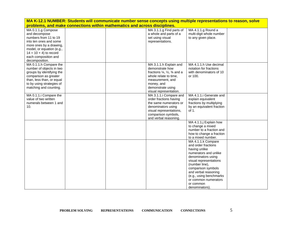| MA K-12.1 NUMBER: Students will communicate number sense concepts using multiple representations to reason, solve                                                                                              |  |  |                                                                                                                                                                                                                      |                                                                                                                                                                                                                                                                                       |  |
|----------------------------------------------------------------------------------------------------------------------------------------------------------------------------------------------------------------|--|--|----------------------------------------------------------------------------------------------------------------------------------------------------------------------------------------------------------------------|---------------------------------------------------------------------------------------------------------------------------------------------------------------------------------------------------------------------------------------------------------------------------------------|--|
| problems, and make connections within mathematics and across disciplines.                                                                                                                                      |  |  |                                                                                                                                                                                                                      |                                                                                                                                                                                                                                                                                       |  |
| MA 0.1.1.g Compose<br>and decompose<br>numbers from 11 to 19<br>into ten ones and some<br>more ones by a drawing,<br>model, or equation (e.g.,<br>$14 = 10 + 4$ ) to record<br>each composition and            |  |  | MA 3.1.1.g Find parts of<br>a whole and parts of a<br>set using visual<br>representations.                                                                                                                           | MA 4.1.1.g Round a<br>multi-digit whole number<br>to any given place.                                                                                                                                                                                                                 |  |
| decomposition.<br>MA 0.1.1.h Compare the<br>number of objects in two<br>groups by identifying the<br>comparison as greater<br>than, less than, or equal<br>to by using strategies of<br>matching and counting. |  |  | MA 3.1.1.h Explain and<br>demonstrate how<br>fractions $\frac{1}{4}$ , $\frac{1}{2}$ , $\frac{3}{4}$ and a<br>whole relate to time,<br>measurement, and<br>money, and<br>demonstrate using<br>visual representation. | MA 4.1.1.h Use decimal<br>notation for fractions<br>with denominators of 10<br>or 100.                                                                                                                                                                                                |  |
| MA 0.1.1.i Compare the<br>value of two written<br>numerals between 1 and<br>10.                                                                                                                                |  |  | MA 3.1.1.i Compare and<br>order fractions having<br>the same numerators or<br>denominators using<br>visual representations,<br>comparison symbols,<br>and verbal reasoning.                                          | MA 4.1.1.i Generate and<br>explain equivalent<br>fractions by multiplying<br>by an equivalent fraction<br>of 1.                                                                                                                                                                       |  |
|                                                                                                                                                                                                                |  |  |                                                                                                                                                                                                                      | MA 4.1.1.j Explain how<br>to change a mixed<br>number to a fraction and<br>how to change a fraction<br>to a mixed number.                                                                                                                                                             |  |
|                                                                                                                                                                                                                |  |  |                                                                                                                                                                                                                      | MA 4.1.1.k Compare<br>and order fractions<br>having unlike<br>numerators and unlike<br>denominators using<br>visual representations<br>(number line),<br>comparison symbols<br>and verbal reasoning<br>(e.g., using benchmarks<br>or common numerators<br>or common<br>denominators). |  |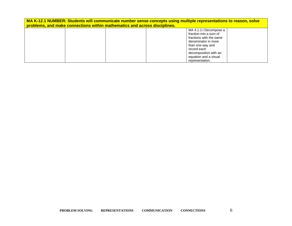| MA K-12.1 NUMBER: Students will communicate number sense concepts using multiple representations to reason, solve<br>problems, and make connections within mathematics and across disciplines. |                         |  |  |  |
|------------------------------------------------------------------------------------------------------------------------------------------------------------------------------------------------|-------------------------|--|--|--|
|                                                                                                                                                                                                | MA 4.1.1.I Decompose a  |  |  |  |
|                                                                                                                                                                                                | fraction into a sum of  |  |  |  |
|                                                                                                                                                                                                | fractions with the same |  |  |  |
|                                                                                                                                                                                                | denominator in more     |  |  |  |
|                                                                                                                                                                                                | than one way and        |  |  |  |
|                                                                                                                                                                                                | record each             |  |  |  |
|                                                                                                                                                                                                | decomposition with an   |  |  |  |
|                                                                                                                                                                                                | equation and a visual   |  |  |  |
|                                                                                                                                                                                                | representation.         |  |  |  |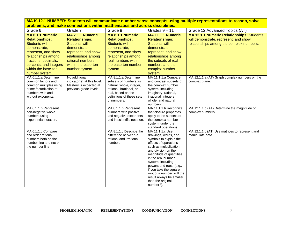| Grade 6                                    | Grade 7                     | Grade 8                                        | Grades $9 - 11$                           | Grade 12 Advanced Topics (AT)                    |
|--------------------------------------------|-----------------------------|------------------------------------------------|-------------------------------------------|--------------------------------------------------|
| <b>MA.6.1.1 Numeric</b>                    | <b>MA.7.1.1 Numeric</b>     | <b>MA.8.1.1 Numeric</b>                        | MA.11.1.1 Numeric                         | <b>MA.12.1.1 Numeric Relationships: Students</b> |
| <b>Relationships:</b>                      | <b>Relationships:</b>       | <b>Relationships:</b>                          | <b>Relationships:</b>                     | will demonstrate, represent, and show            |
| <b>Students will</b>                       | <b>Students will</b>        | <b>Students will</b>                           | <b>Students will</b>                      | relationships among the complex numbers.         |
| demonstrate,                               | demonstrate,                | demonstrate,                                   | demonstrate,                              |                                                  |
| represent, and show                        | represent, and show         | represent, and show                            | represent, and show                       |                                                  |
| relationships among                        | relationships among         | relationships among                            | relationships among                       |                                                  |
| fractions, decimals,                       | rational numbers            | real numbers within                            | the subsets of real                       |                                                  |
| percents, and integers                     | within the base-ten         | the base-ten number                            | numbers and the                           |                                                  |
| within the base-ten                        | number system.              | system.                                        | complex number                            |                                                  |
| number system.                             |                             |                                                | system.                                   |                                                  |
| MA 6.1.1.a Determine                       | No additional               | MA 8.1.1.a Determine                           | MA 11.1.1.a Compare                       | MA 12.1.1.a (AT) Graph complex numbers on the    |
| common factors and                         | indicator(s) at this level. | subsets of numbers as                          | and contrast subsets of                   | complex plane.                                   |
| common multiples using                     | Mastery is expected at      | natural, whole, integer,                       | the complex number                        |                                                  |
| prime factorization of<br>numbers with and | previous grade levels.      | rational, irrational, or<br>real, based on the | system, including<br>imaginary, rational, |                                                  |
| without exponents.                         |                             | definitions of these sets                      | irrational, integers,                     |                                                  |
|                                            |                             | of numbers.                                    | whole, and natural                        |                                                  |
|                                            |                             |                                                | numbers.                                  |                                                  |
| MA 6.1.1.b Represent                       |                             | MA 8.1.1.b Represent                           | MA 11.1.1.b Recognize                     | MA 12.1.1.b (AT) Determine the magnitude of      |
| non-negative whole                         |                             | numbers with positive                          | that closure properties                   | complex numbers.                                 |
| numbers using                              |                             | and negative exponents                         | apply to the subsets of                   |                                                  |
| exponential notation.                      |                             | and in scientific notation.                    | the complex number                        |                                                  |
|                                            |                             |                                                | system, under the<br>standard operations. |                                                  |
| MA 6.1.1.c Compare                         |                             | MA 8.1.1.c Describe the                        | MA 11.1.1.c Use                           | MA 12.1.1.c (AT) Use matrices to represent and   |
| and order rational                         |                             | difference between a                           | drawings, words, and                      | manipulate data.                                 |
| numbers both on the                        |                             | rational and irrational                        | symbols to explain the                    |                                                  |
| number line and not on                     |                             | number.                                        | effects of operations                     |                                                  |
| the number line.                           |                             |                                                | such as multiplication                    |                                                  |
|                                            |                             |                                                | and division on the                       |                                                  |
|                                            |                             |                                                | magnitude of quantities                   |                                                  |
|                                            |                             |                                                | in the real number<br>system, including   |                                                  |
|                                            |                             |                                                | powers and roots (e.g.,                   |                                                  |
|                                            |                             |                                                | if you take the square                    |                                                  |
|                                            |                             |                                                | root of a number, will the                |                                                  |
|                                            |                             |                                                | result always be smaller                  |                                                  |
|                                            |                             |                                                | than the original                         |                                                  |
|                                            |                             |                                                | number?).                                 |                                                  |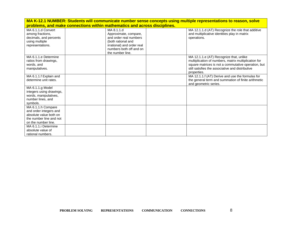|                                                                                                                          | MA K-12.1 NUMBER: Students will communicate number sense concepts using multiple representations to reason, solve |                                                                                                                                                                  |  |                                                                                                                                                                                                                           |  |
|--------------------------------------------------------------------------------------------------------------------------|-------------------------------------------------------------------------------------------------------------------|------------------------------------------------------------------------------------------------------------------------------------------------------------------|--|---------------------------------------------------------------------------------------------------------------------------------------------------------------------------------------------------------------------------|--|
|                                                                                                                          | problems, and make connections within mathematics and across disciplines.                                         |                                                                                                                                                                  |  |                                                                                                                                                                                                                           |  |
| MA 6.1.1.d Convert<br>among fractions,<br>decimals, and percents<br>using multiple<br>representations.                   |                                                                                                                   | MA 8.1.1.d<br>Approximate, compare,<br>and order real numbers<br>(both rational and<br>irrational) and order real<br>numbers both off and on<br>the number line. |  | MA 12.1.1.d (AT) Recognize the role that additive<br>and multiplicative identities play in matrix<br>operations.                                                                                                          |  |
| MA 6.1.1.e Determine<br>ratios from drawings,<br>words, and<br>manipulatives.                                            |                                                                                                                   |                                                                                                                                                                  |  | MA 12.1.1.e (AT) Recognize that, unlike<br>multiplication of numbers, matrix multiplication for<br>square matrices is not a commutative operation, but<br>still satisfies the associative and distributive<br>properties. |  |
| MA 6.1.1.f Explain and<br>determine unit rates.                                                                          |                                                                                                                   |                                                                                                                                                                  |  | MA 12.1.1.f (AT) Derive and use the formulas for<br>the general term and summation of finite arithmetic<br>and geometric series.                                                                                          |  |
| MA 6.1.1.g Model<br>integers using drawings,<br>words, manipulatives,<br>number lines, and<br>symbols.                   |                                                                                                                   |                                                                                                                                                                  |  |                                                                                                                                                                                                                           |  |
| MA 6.1.1.h Compare<br>and order integers and<br>absolute value both on<br>the number line and not<br>on the number line. |                                                                                                                   |                                                                                                                                                                  |  |                                                                                                                                                                                                                           |  |
| MA 6.1.1.i Determine<br>absolute value of<br>rational numbers.                                                           |                                                                                                                   |                                                                                                                                                                  |  |                                                                                                                                                                                                                           |  |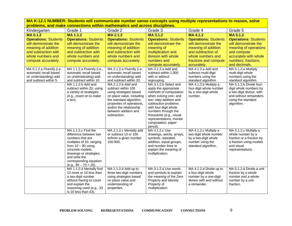| Kindergarten                | Grade 1                                           | Grade 2                                   | Grade 3                              | Grade 4                                          | Grade 5                                           |
|-----------------------------|---------------------------------------------------|-------------------------------------------|--------------------------------------|--------------------------------------------------|---------------------------------------------------|
| <b>MA0.1.2</b>              | MA 1.1.2                                          | <b>MA 2.1.2</b>                           | MA 3.1.2                             | <b>MA4.1.2</b>                                   | MA 5.1.2                                          |
| <b>Operations: Students</b> | <b>Operations: Students</b>                       | <b>Operations: Students</b>               | <b>Operations: Students</b>          | <b>Operations: Students</b>                      | <b>Operations: Students</b>                       |
| will demonstrate the        | will demonstrate the                              | will demonstrate the                      | will demonstrate the                 | will demonstrate the                             | will demonstrate the                              |
| meaning of addition         | meaning of addition                               | meaning of addition                       | meaning of                           | meaning of addition                              | meaning of operations                             |
| and subtraction with        | and subtraction with                              | and subtraction with                      | multiplication and                   | and subtraction of                               | and compute                                       |
| whole numbers and           | whole numbers and                                 | whole numbers and                         | division with whole                  | whole numbers and                                | accurately with whole                             |
| compute accurately.         | compute accurately.                               | compute accurately.                       | numbers and                          | fractions and compute                            | numbers, fractions,                               |
|                             |                                                   |                                           | compute accurately.                  | accurately.                                      | and decimals.                                     |
| MA 0.1.2.a Fluently (i.e.   | MA 1.1.2.a Fluently (i.e.,                        | MA 2.1.2.a Fluently (i.e.                 | MA 3.1.2.a Add and                   | MA 4.1.2.a Add and                               | MA 5.1.2.a Multiply                               |
| automatic recall based      | automatic recall based                            | automatic recall based                    | subtract within 1,000                | subtract multi-digit                             | multi-digit whole                                 |
| on understanding) add       | on understanding) add                             | on understanding) add                     | with or without                      | numbers using the                                | numbers using the                                 |
| and subtract within 5.      | and subtract within 10.                           | and subtract within 20.                   | regrouping.<br>MA 3.1.2.b Select and | standard algorithm.                              | standard algorithm.                               |
|                             | MA 1.1.2.b Add and<br>subtract within 20, using   | MA 2.1.2.b Add and<br>subtract within 100 | apply the appropriate                | MA 4.1.2.b Multiply a<br>four-digit whole number | MA 5.1.2.b Divide four-<br>digit whole numbers by |
|                             | a variety of strategies                           | using strategies based                    | methods of computation               | by a one-digit whole                             | a two-digit divisor, with                         |
|                             | (e.g., count on to make                           | on place value, including                 | when solving one- and                | number.                                          | and without remainders                            |
|                             | a ten).                                           | the standard algorithm,                   | two-step addition and                |                                                  | using the standard                                |
|                             |                                                   | properties of operations,                 | subtraction problems                 |                                                  | algorithm.                                        |
|                             |                                                   | and/or the relationship                   | with four-digit whole                |                                                  |                                                   |
|                             |                                                   | between addition and                      | numbers through the                  |                                                  |                                                   |
|                             |                                                   | subtraction.                              | thousands (e.g., visual              |                                                  |                                                   |
|                             |                                                   |                                           | representations, mental              |                                                  |                                                   |
|                             |                                                   |                                           | computation, paper-<br>pencil).      |                                                  |                                                   |
|                             | MA 1.1.2.c Find the                               | MA 2.1.2.c Mentally add                   | MA 3.1.2.c Use                       | MA 4.1.2.c Multiply a                            | MA 5.1.2.c Multiply a                             |
|                             | difference between two                            | or subtract 10 or 100                     | drawings, words, arrays,             | two-digit whole number                           | whole number by a                                 |
|                             | numbers that are                                  | to/from a given number                    | symbols, repeated                    | by a two-digit whole                             | fraction or a fraction by                         |
|                             | multiples of 10, ranging                          | 100-900.                                  | addition, equal groups,              | number using the                                 | a fraction using models                           |
|                             | from $10 - 90$ using                              |                                           | and number lines to                  | standard algorithm.                              | and visual                                        |
|                             | concrete models,                                  |                                           | explain the meaning of               |                                                  | representations.                                  |
|                             | drawings or strategies,                           |                                           | multiplication.                      |                                                  |                                                   |
|                             | and write the                                     |                                           |                                      |                                                  |                                                   |
|                             | corresponding equation<br>$(e.g., 90 - 70 = 20).$ |                                           |                                      |                                                  |                                                   |
|                             | MA 1.1.2.d Mentally find                          | MA 2.1.2.d Add up to                      | MA 3.1.2.d Use words                 | MA 4.1.2.d Divide up to                          | MA 5.1.2.d Divide a unit                          |
|                             | 10 more or 10 less than                           | three two-digit numbers                   | and symbols to explain               | a four-digit whole                               | fraction by a whole                               |
|                             | a two-digit number                                | using strategies based                    | the meaning of the Zero              | number by a one-digit                            | number and a whole                                |
|                             | without having to count                           | on place value and                        | Property and Identity                | divisor with and without                         | number by a unit                                  |
|                             | and explain the                                   | understanding of                          | Property of                          | a remainder.                                     | fraction.                                         |
|                             | reasoning used (e.g., 33                          | properties.                               | multiplication.                      |                                                  |                                                   |
|                             | is 10 less than 43).                              |                                           |                                      |                                                  |                                                   |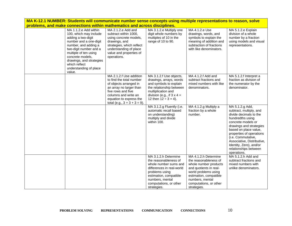|                                                                                                                                                                                                                                                                                 | problems, and make connections within mathematics and across disciplines.                                                                                                                                            | <u>MA N-IZ.T NUMULN. JUUCHIS WIII CUMMUHICALE HUMDEL SENSE CUNCEPIS USING MUUDIE TEPIESEMANUMS IU FEASUN, SUIVE</u>                                                                                         |                                                                                                                                                                                                                |                                                                                                                                                                                                                                                                                                                       |
|---------------------------------------------------------------------------------------------------------------------------------------------------------------------------------------------------------------------------------------------------------------------------------|----------------------------------------------------------------------------------------------------------------------------------------------------------------------------------------------------------------------|-------------------------------------------------------------------------------------------------------------------------------------------------------------------------------------------------------------|----------------------------------------------------------------------------------------------------------------------------------------------------------------------------------------------------------------|-----------------------------------------------------------------------------------------------------------------------------------------------------------------------------------------------------------------------------------------------------------------------------------------------------------------------|
| MA 1.1.2.e Add within<br>100, which may include<br>adding a two-digit<br>number and a one-digit<br>number, and adding a<br>two-digit number and a<br>multiple of ten using<br>concrete models.<br>drawings, and strategies<br>which reflect<br>understanding of place<br>value. | MA 2.1.2.e Add and<br>subtract within 1000,<br>using concrete models,<br>drawings, and<br>strategies, which reflect<br>understanding of place<br>value and properties of<br>operations.                              | MA 3.1.2.e Multiply one<br>digit whole numbers by<br>multiples of 10 in the<br>range of 10 to 90.                                                                                                           | MA 4.1.2.e Use<br>drawings, words, and<br>symbols to explain the<br>meaning of addition and<br>subtraction of fractions<br>with like denominators.                                                             | MA 5.1.2.e Explain<br>division of a whole<br>number by a fraction<br>using models and visual<br>representations.                                                                                                                                                                                                      |
|                                                                                                                                                                                                                                                                                 | MA 2.1.2.f Use addition<br>to find the total number<br>of objects arranged in<br>an array no larger than<br>five rows and five<br>columns and write an<br>equation to express the<br>total (e.g., $3 + 3 + 3 = 9$ ). | MA 3.1.2.f Use objects,<br>drawings, arrays, words<br>and symbols to explain<br>the relationship between<br>multiplication and<br>division (e.g., if $3 \times 4 =$<br>12 then $12 \div 3 = 4$ ).           | MA 4.1.2.f Add and<br>subtract fractions and<br>mixed numbers with like<br>denominators.                                                                                                                       | MA 5.1.2.f Interpret a<br>fraction as division of<br>the numerator by the<br>denominator.                                                                                                                                                                                                                             |
|                                                                                                                                                                                                                                                                                 |                                                                                                                                                                                                                      | MA 3.1.2.g Fluently (i.e.<br>automatic recall based<br>on understanding)<br>multiply and divide<br>within 100.                                                                                              | MA 4.1.2.g Multiply a<br>fraction by a whole<br>number.                                                                                                                                                        | MA 5.1.2.g Add,<br>subtract, multiply, and<br>divide decimals to the<br>hundredths using<br>concrete models or<br>drawings and strategies<br>based on place value,<br>properties of operations<br>(i.e. Commutative,<br>Associative, Distributive,<br>Identity, Zero), and/or<br>relationships between<br>operations. |
|                                                                                                                                                                                                                                                                                 |                                                                                                                                                                                                                      | MA 3.1.2.h Determine<br>the reasonableness of<br>whole number sums and<br>differences in real-world<br>problems using<br>estimation, compatible<br>numbers, mental<br>computations, or other<br>strategies. | MA 4.1.2.h Determine<br>the reasonableness of<br>whole number products<br>and quotients in real-<br>world problems using<br>estimation, compatible<br>numbers, mental<br>computations, or other<br>strategies. | MA 5.1.2.h Add and<br>subtract fractions and<br>mixed numbers with<br>unlike denominators.                                                                                                                                                                                                                            |

**MA K-12.1 NUMBER: Students will communicate number sense concepts using multiple representations to reason, solve**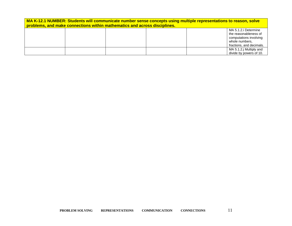| MA K-12.1 NUMBER: Students will communicate number sense concepts using multiple representations to reason, solve<br>problems, and make connections within mathematics and across disciplines. |  |  |  |                                                                                                                       |
|------------------------------------------------------------------------------------------------------------------------------------------------------------------------------------------------|--|--|--|-----------------------------------------------------------------------------------------------------------------------|
|                                                                                                                                                                                                |  |  |  | MA 5.1.2.i Determine<br>the reasonableness of<br>computations involving<br>whole numbers,<br>fractions, and decimals. |
|                                                                                                                                                                                                |  |  |  | MA 5.1.2.j Multiply and<br>divide by powers of 10.                                                                    |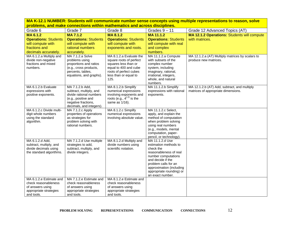**MA K-12.1 NUMBER: Students will communicate number sense concepts using multiple representations to reason, solve problems, and make connections within mathematics and across disciplines.** Grade 6 Grade 7 Grade 8 Grade 8 Grades 9 – 11 Grade 12 Advanced Topics (AT) **MA 6.1.2 Operations:** Students will compute with fractions and decimals accurately. **MA 7.1.2 Operations: Students** will compute with rational numbers accurately. **MA 8.1.2 Operations:** Students will compute with exponents and roots. **MA 11.1.2 Operations:** Students will compute with real and complex numbers. **MA 12.1.2 Operations:** Students will compute with matrices. MA 6.1.2.a Multiply and divide non-negative fractions and mixed numbers. MA 7.1.2.a Solve problems using proportions and ratios (e.g., cross products, percents, tables, equations, and graphs). MA 8.1.2.a Evaluate the square roots of perfect squares less than or equal to 400 and cube roots of perfect cubes less than or equal to 125. MA 11.1.2.a Compute with subsets of the complex number system, including imaginary, rational, irrational, integers, whole, and natural numbers. MA 12.1.2.a (AT) Multiply matrices by scalars to produce new matrices. MA 6.1.2.b Evaluate expressions with positive exponents. MA 7.1.2.b Add, subtract, multiply, and divide rational numbers (e.g., positive and negative fractions, decimals, and integers). MA 8.1.2.b Simplify numerical expressions involving exponents and roots (e.g.,  $4<sup>(-2)</sup>$  is the same as 1/16). MA 11.1.2.b Simplify expressions with rational exponents. MA 12.1.2.b (AT) Add, subtract, and multiply matrices of appropriate dimensions. MA 6.1.2.c Divide multidigit whole numbers using the standard algorithm. MA 7.1.2.c Apply properties of operations as strategies for problem solving with rational numbers. MA 8.1.2.c Simplify numerical expressions involving absolute value. MA 11.1.2.c Select, apply, and explain the method of computation when problem solving using real numbers (e.g., models, mental computation, paperpencil, or technology). MA 6.1.2.d Add, subtract, multiply, and divide decimals using the standard algorithms. MA 7.1.2.d Use multiple strategies to add, subtract, multiply, and divide integers. MA 8.1.2.d Multiply and divide numbers using scientific notation. MA 11.1.2.d Use estimation methods to check the reasonableness of real number computations and decide if the problem calls for an approximation (including appropriate rounding) or an exact number. MA 6.1.2.e Estimate and check reasonableness of answers using appropriate strategies and tools. MA 7.1.2.e Estimate and check reasonableness of answers using appropriate strategies and tools. MA 8.1.2.e Estimate and check reasonableness of answers using appropriate strategies and tools.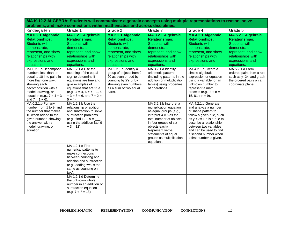| Kindergarten                                                                                                                                                                                                       | Grade 1                                                                                                                                                                                                                    | Grade 2                                                                                                                                                       | Grade 3                                                                                                                                                                                                                                                                 | Grade 4                                                                                                                                                                                                                                                            | Grade 5                                                                                                                   |
|--------------------------------------------------------------------------------------------------------------------------------------------------------------------------------------------------------------------|----------------------------------------------------------------------------------------------------------------------------------------------------------------------------------------------------------------------------|---------------------------------------------------------------------------------------------------------------------------------------------------------------|-------------------------------------------------------------------------------------------------------------------------------------------------------------------------------------------------------------------------------------------------------------------------|--------------------------------------------------------------------------------------------------------------------------------------------------------------------------------------------------------------------------------------------------------------------|---------------------------------------------------------------------------------------------------------------------------|
| MA 0.2.1 Algebraic                                                                                                                                                                                                 | MA 1.2.1 Algebraic                                                                                                                                                                                                         | MA 2.2.1 Algebraic                                                                                                                                            | MA 3.2.1 Algebraic                                                                                                                                                                                                                                                      | MA 4.2.1 Algebraic                                                                                                                                                                                                                                                 | MA 5.2.1 Algebraic                                                                                                        |
| <b>Relationships:</b>                                                                                                                                                                                              | <b>Relationships:</b>                                                                                                                                                                                                      | <b>Relationships:</b>                                                                                                                                         | <b>Relationships:</b>                                                                                                                                                                                                                                                   | <b>Relationships:</b>                                                                                                                                                                                                                                              | <b>Relationships:</b>                                                                                                     |
| <b>Students will</b>                                                                                                                                                                                               | Students will                                                                                                                                                                                                              | Students will                                                                                                                                                 | Students will                                                                                                                                                                                                                                                           | <b>Students will</b>                                                                                                                                                                                                                                               | <b>Students will</b>                                                                                                      |
| demonstrate,                                                                                                                                                                                                       | demonstrate,                                                                                                                                                                                                               | demonstrate,                                                                                                                                                  | demonstrate,                                                                                                                                                                                                                                                            | demonstrate,                                                                                                                                                                                                                                                       | demonstrate,                                                                                                              |
| represent, and show                                                                                                                                                                                                | represent, and show                                                                                                                                                                                                        | represent, and show                                                                                                                                           | represent, and show                                                                                                                                                                                                                                                     | represent, and show                                                                                                                                                                                                                                                | represent, and show                                                                                                       |
| relationships with                                                                                                                                                                                                 | relationships with                                                                                                                                                                                                         | relationships with                                                                                                                                            | relationships with                                                                                                                                                                                                                                                      | relationships with                                                                                                                                                                                                                                                 | relationships with                                                                                                        |
| expressions and                                                                                                                                                                                                    | expressions and                                                                                                                                                                                                            | expressions and                                                                                                                                               | expressions and                                                                                                                                                                                                                                                         | expressions and                                                                                                                                                                                                                                                    | expressions and                                                                                                           |
| equations.                                                                                                                                                                                                         | equations.                                                                                                                                                                                                                 | equations.                                                                                                                                                    | equations.                                                                                                                                                                                                                                                              | equations.                                                                                                                                                                                                                                                         | equations.                                                                                                                |
| MA 0.2.1.a Decompose<br>numbers less than or<br>equal to 10 into pairs in<br>more than one way,<br>showing each<br>decomposition with a<br>model, drawing, or<br>equation (e.g., $7 = 4 + 3$<br>and $7 = 1 + 6$ ). | MA 1.2.1.a Use the<br>meaning of the equal<br>sign to determine if<br>equations are true and<br>give examples of<br>equations that are true<br>$(e.g., 4 = 4, 6 = 7 - 1, 6)$<br>$+3 = 3 + 6$ , and $7 + 2 =$<br>$5 + 4$ ). | MA 2.2.1.a Identify a<br>group of objects from 0-<br>20 as even or odd by<br>counting by 2's or by<br>showing even numbers<br>as a sum of two equal<br>parts. | MA 3.2.1.a Identify<br>arithmetic patterns<br>(including patterns in the<br>addition or multiplication<br>tables) using properties<br>of operations.                                                                                                                    | MA 4.2.1.a Create a<br>simple algebraic<br>expression or equation<br>using a variable for an<br>unknown number to<br>represent a math<br>process (e.g., $3 + n =$<br>15, $81 \div n = 9$ ).                                                                        | MA 5.2.1.a Form<br>ordered pairs from a rule<br>such as $y=2x$ , and graph<br>the ordered pairs on a<br>coordinate plane. |
| MA 0.2.1.b For any<br>number from 1 to 9, find<br>the number that makes<br>10 when added to the<br>given number, showing<br>the answer with a<br>model, drawing, or<br>equation.                                   | MA 1.2.1.b Use the<br>relationship of addition<br>and subtraction to solve<br>subtraction problems<br>(e.g., find $12 - 9 =$ ___,<br>using the addition fact 9<br>$+3 = 12$ ).                                             |                                                                                                                                                               | MA 3.2.1.b Interpret a<br>multiplication equation<br>as equal groups (e.g.,<br>interpret $4 \times 6$ as the<br>total number of objects<br>in four groups of six<br>objects each).<br>Represent verbal<br>statements of equal<br>groups as multiplication<br>equations. | MA 4.2.1.b Generate<br>and analyze a number<br>or shape pattern to<br>follow a given rule, such<br>as $y = 3x + 5$ is a rule to<br>describe a relationship<br>between two variables<br>and can be used to find<br>a second number when<br>a first number is given. |                                                                                                                           |
|                                                                                                                                                                                                                    | MA 1.2.1.c Find<br>numerical patterns to<br>make connections<br>between counting and<br>addition and subtraction<br>(e.g., adding two is the<br>same as counting on<br>two).<br>MA 1.2.1.d Determine                       |                                                                                                                                                               |                                                                                                                                                                                                                                                                         |                                                                                                                                                                                                                                                                    |                                                                                                                           |
|                                                                                                                                                                                                                    | the unknown whole<br>number in an addition or<br>subtraction equation<br>$(e.g. 7 + ? = 13).$                                                                                                                              |                                                                                                                                                               |                                                                                                                                                                                                                                                                         |                                                                                                                                                                                                                                                                    |                                                                                                                           |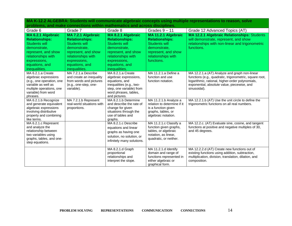| Grade 6                                         | Grade 7                             | Grade 8                                              | Grades $9 - 11$             | Grade 12 Advanced Topics (AT)                               |
|-------------------------------------------------|-------------------------------------|------------------------------------------------------|-----------------------------|-------------------------------------------------------------|
| MA 6.2.1 Algebraic                              | MA 7.2.1 Algebraic                  | MA 8.2.1 Algebraic                                   | MA 11.2.1 Algebraic         | <b>MA 12.2.1 Algebraic Relationships: Students</b>          |
| <b>Relationships:</b>                           | <b>Relationships:</b>               | <b>Relationships:</b>                                | <b>Relationships:</b>       | will demonstrate, represent, and show                       |
| <b>Students will</b>                            | Students will                       | Students will                                        | Students will               | relationships with non-linear and trigonometric             |
| demonstrate.                                    | demonstrate.                        | demonstrate.                                         | demonstrate.                | functions.                                                  |
| represent, and show                             | represent, and show                 | represent, and show                                  | represent, and show         |                                                             |
| relationships with                              | relationships with                  | relationships with                                   | relationships with          |                                                             |
| expressions,                                    | expressions,                        | expressions.                                         | functions.                  |                                                             |
| equations, and                                  | equations, and                      | equations, and                                       |                             |                                                             |
| inequalities.                                   | inequalities.                       | inequalities.                                        |                             |                                                             |
| MA 6.2.1.a Create                               | MA 7.2.1.a Describe                 | MA 8.2.1.a Create                                    | MA 11.2.1.a Define a        | MA 12.2.1.a (AT) Analyze and graph non-linear               |
| algebraic expressions                           | and create an inequality            | algebraic expressions,                               | function and use            | functions (e.g., quadratic, trigonometric, square root,     |
| (e.g., one operation, one                       | from words and pictures             | equations, and                                       | function notation.          | logarithmic, rational, higher-order polynomials,            |
| variable as well as<br>multiple operations, one | (e.g., one-step, one-<br>variable). | inequalities (e.g., two-<br>step, one variable) from |                             | exponential, absolute value, piecewise, and<br>sinusoidal). |
| variable) from word                             |                                     | word phrases, tables,                                |                             |                                                             |
| phrases.                                        |                                     | and pictures.                                        |                             |                                                             |
| MA 6.2.1.b Recognize                            | MA 7.2.1.b Represent                | MA 8.2.1.b Determine                                 | MA 11.2.1.b Analyze a       | MA 12.2.1.b (AT) Use the unit circle to define the          |
| and generate equivalent                         | real-world situations with          | and describe the rate of                             | relation to determine if it | trigonometric functions on all real numbers.                |
| algebraic expressions                           | proportions.                        | change for given                                     | is a function given         |                                                             |
| involving distributive                          |                                     | situations through the                               | graphs, tables, or          |                                                             |
| property and combining<br>like terms.           |                                     | use of tables and                                    | algebraic notation.         |                                                             |
| MA 6.2.1.c Represent                            |                                     | graphs.<br>MA 8.2.1.c Describe                       | MA 11.2.1.c Classify a      | MA 12.2.c. (AT) Evaluate sine, cosine, and tangent          |
| and analyze the                                 |                                     | equations and linear                                 | function given graphs,      | functions at positive and negative multiples of 30,         |
| relationship between                            |                                     | graphs as having one                                 | tables, or algebraic        | and 45 degrees.                                             |
| two variables using                             |                                     | solution, no solution, or                            | notation, as linear,        |                                                             |
| graphs, tables, and one-                        |                                     | infinitely many solutions.                           | quadratic, or neither.      |                                                             |
| step equations.                                 |                                     |                                                      |                             |                                                             |
|                                                 |                                     | MA 8.2.1.d Graph                                     | MA 11.2.1.d Identify        | MA 12.2.2.d (AT) Create new functions out of                |
|                                                 |                                     | proportional                                         | domain and range of         | existing functions using addition, subtraction,             |
|                                                 |                                     | relationships and                                    | functions represented in    | multiplication, division, translation, dilation, and        |
|                                                 |                                     | interpret the slope.                                 | either algebraic or         | composition.                                                |
|                                                 |                                     |                                                      | graphical form.             |                                                             |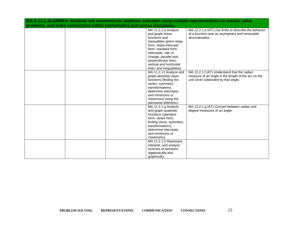| MA K-12.2 ALGEBRA: Students will communicate algebraic concepts using multiple representations to reason, solve<br>problems, and make connections within mathematics and across disciplines. |  |  |                                                    |                                                                                                         |  |
|----------------------------------------------------------------------------------------------------------------------------------------------------------------------------------------------|--|--|----------------------------------------------------|---------------------------------------------------------------------------------------------------------|--|
|                                                                                                                                                                                              |  |  | MA 11.2.1.e Analyze<br>and graph linear            | MA 12.2.1.e (AT) Use limits to describe the behavior<br>of a function near its asymptotes and removable |  |
|                                                                                                                                                                                              |  |  | functions and                                      | discontinuities.                                                                                        |  |
|                                                                                                                                                                                              |  |  | inequalities (point-slope<br>form, slope-intercept |                                                                                                         |  |
|                                                                                                                                                                                              |  |  | form, standard form,                               |                                                                                                         |  |
|                                                                                                                                                                                              |  |  | intercepts, rate of<br>change, parallel and        |                                                                                                         |  |
|                                                                                                                                                                                              |  |  | perpendicular lines,                               |                                                                                                         |  |
|                                                                                                                                                                                              |  |  | vertical and horizontal                            |                                                                                                         |  |
|                                                                                                                                                                                              |  |  | lines, and inequalities)                           |                                                                                                         |  |
|                                                                                                                                                                                              |  |  | MA 11.2.1.f Analyze and<br>graph absolute value    | MA 12.2.1.f (AT) Understand that the radian<br>measure of an angle is the length of the arc on the      |  |
|                                                                                                                                                                                              |  |  | functions (finding the                             | unit circle subtended by that angle.                                                                    |  |
|                                                                                                                                                                                              |  |  | vertex, symmetry,                                  |                                                                                                         |  |
|                                                                                                                                                                                              |  |  | transformations,<br>determine intercepts,          |                                                                                                         |  |
|                                                                                                                                                                                              |  |  | and minimums or                                    |                                                                                                         |  |
|                                                                                                                                                                                              |  |  | maximums using the                                 |                                                                                                         |  |
|                                                                                                                                                                                              |  |  | piecewise definition).                             |                                                                                                         |  |
|                                                                                                                                                                                              |  |  | MA 11.2.1.g Analyze<br>and graph quadratic         | MA 12.2.1.g (AT) Convert between radian and<br>degree measures of an angle.                             |  |
|                                                                                                                                                                                              |  |  | functions (standard                                |                                                                                                         |  |
|                                                                                                                                                                                              |  |  | form, vertex form,                                 |                                                                                                         |  |
|                                                                                                                                                                                              |  |  | finding zeros, symmetry,<br>transformations.       |                                                                                                         |  |
|                                                                                                                                                                                              |  |  | determine intercepts,                              |                                                                                                         |  |
|                                                                                                                                                                                              |  |  | and minimums or                                    |                                                                                                         |  |
|                                                                                                                                                                                              |  |  | maximums).                                         |                                                                                                         |  |
|                                                                                                                                                                                              |  |  | MA 11.2.1.h Represent,<br>interpret, and analyze   |                                                                                                         |  |
|                                                                                                                                                                                              |  |  | inverses of functions                              |                                                                                                         |  |
|                                                                                                                                                                                              |  |  | algebraically and                                  |                                                                                                         |  |
|                                                                                                                                                                                              |  |  | graphically.                                       |                                                                                                         |  |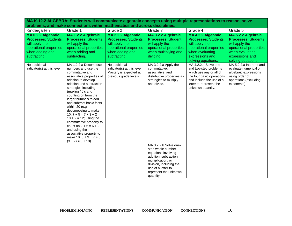| Propression and manual<br>Kindergarten                                                                                          | Grade 1                                                                                                                                                                                                                                                                                                                                                                                                                                                                                                                                 | Grade 2                                                                                                                         | Grade 3                                                                                                                                                                                                  | Grade 4                                                                                                                                                                            | Grade 5                                                                                                                                                  |
|---------------------------------------------------------------------------------------------------------------------------------|-----------------------------------------------------------------------------------------------------------------------------------------------------------------------------------------------------------------------------------------------------------------------------------------------------------------------------------------------------------------------------------------------------------------------------------------------------------------------------------------------------------------------------------------|---------------------------------------------------------------------------------------------------------------------------------|----------------------------------------------------------------------------------------------------------------------------------------------------------------------------------------------------------|------------------------------------------------------------------------------------------------------------------------------------------------------------------------------------|----------------------------------------------------------------------------------------------------------------------------------------------------------|
| MA 0.2.2 Algebraic<br><b>Processes: Students</b><br>will apply the<br>operational properties<br>when adding and<br>subtracting. | <b>MA 1.2.2 Algebraic</b><br><b>Processes: Students</b><br>will apply the<br>operational properties<br>when adding and<br>subtracting.                                                                                                                                                                                                                                                                                                                                                                                                  | MA 2.2.2 Algebraic<br><b>Processes: Students</b><br>will apply the<br>operational properties<br>when adding and<br>subtracting. | MA 3.2.2 Algebraic<br><b>Processes: Student</b><br>will apply the<br>operational properties<br>when multiplying and<br>dividing.                                                                         | MA 4.2.2 Algebraic<br><b>Processes: Students</b><br>will apply the<br>operational properties<br>when evaluating<br>expressions and<br>solving equations.                           | MA 5.2.2 Algebraic<br><b>Processes: Students</b><br>will apply the<br>operational properties<br>when evaluating<br>expressions and<br>solving equations. |
| No additional<br>indicator(s) at this level.                                                                                    | MA 1.2.2.a Decompose<br>numbers and use the<br>commutative and<br>associative properties of<br>addition to develop<br>addition and subtraction<br>strategies including<br>(making 10's and<br>counting on from the<br>larger number) to add<br>and subtract basic facts<br>within 20 (e.g.,<br>decomposing to make<br>$10, 7 + 5 = 7 + 3 + 2 =$<br>$10 + 2 = 12$ ; using the<br>commutative property to<br>count on $2 + 6 = 6 + 2$ ;<br>and using the<br>associative property to<br>make $10, 5 + 3 + 7 = 5 +$<br>$(3 + 7) = 5 + 10$ . | No additional<br>indicator(s) at this level.<br>Mastery is expected at<br>previous grade levels.                                | MA 3.2.2.a Apply the<br>commutative,<br>associative, and<br>distributive properties as<br>strategies to multiply<br>and divide.                                                                          | MA 4.2.2.a Solve one-<br>and two-step problems<br>which use any or all of<br>the four basic operations<br>and include the use of a<br>letter to represent the<br>unknown quantity. | MA 5.2.2.a Interpret and<br>evaluate numerical or<br>algebraic expressions<br>using order of<br>operations (excluding<br>exponents).                     |
|                                                                                                                                 |                                                                                                                                                                                                                                                                                                                                                                                                                                                                                                                                         |                                                                                                                                 | MA 3.2.2.b Solve one-<br>step whole number<br>equations involving<br>addition, subtraction,<br>multiplication, or<br>division, including the<br>use of a letter to<br>represent the unknown<br>quantity. |                                                                                                                                                                                    |                                                                                                                                                          |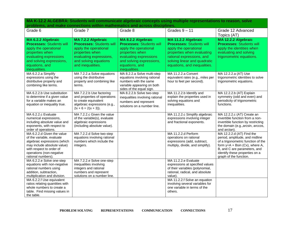| Grade 6                                                                                                                                                                                              | Grade 7                                                                                                                                                                           | Grade 8                                                                                                                                                                                    | Grades $9 - 11$                                                                                                                                                                                            | Grade 12 Advanced<br>Topics (AT)                                                                                                                                                                                                     |
|------------------------------------------------------------------------------------------------------------------------------------------------------------------------------------------------------|-----------------------------------------------------------------------------------------------------------------------------------------------------------------------------------|--------------------------------------------------------------------------------------------------------------------------------------------------------------------------------------------|------------------------------------------------------------------------------------------------------------------------------------------------------------------------------------------------------------|--------------------------------------------------------------------------------------------------------------------------------------------------------------------------------------------------------------------------------------|
| MA 6.2.2 Algebraic<br><b>Processes: Students will</b><br>apply the operational<br>properties when<br>evaluating expressions<br>and solving expressions,<br>equations, and<br>inequalities.           | <b>MA 7.2.2 Algebraic</b><br><b>Processes: Students will</b><br>apply the operational<br>properties when<br>evaluating expressions,<br>and solving equations<br>and inequalities. | MA 8.2.2 Algebraic<br><b>Processes: Students will</b><br>apply the operational<br>properties when<br>evaluating expressions<br>and solving expressions,<br>equations, and<br>inequalities. | MA 11.2.2 Algebraic<br><b>Processes: Students will</b><br>apply the operational<br>properties when evaluating<br>rational expressions, and<br>solving linear and quadratic<br>equations, and inequalities. | MA 12.2.2 Algebraic<br><b>Processes: Students will</b><br>apply the identities when<br>evaluating and solving<br>trigonometric equations.                                                                                            |
| MA 6.2.2.a Simplify<br>expressions using the<br>distributive property and<br>combining like terms.                                                                                                   | MA 7.2.2.a Solve equations<br>using the distributive<br>property and combining like<br>terms.                                                                                     | MA 8.2.2.a Solve multi-step<br>equations involving rational<br>numbers with the same<br>variable appearing on both<br>sides of the equal sign.                                             | MA 11.2.2.a Convert<br>equivalent rates (e.g., miles per<br>hour to feet per second).                                                                                                                      | MA 12.2.2.a (AT) Use<br>trigonometric identities to solve<br>trigonometric equations.                                                                                                                                                |
| MA 6.2.2.b Use substitution<br>to determine if a given value<br>for a variable makes an<br>equation or inequality true.                                                                              | MA 7.2.2.b Use factoring<br>and properties of operations<br>to create equivalent<br>algebraic expressions (e.g.,<br>$2x + 6 = 2(x + 3)$ .                                         | MA 8.2.2.b Solve two-step<br>inequalities involving rational<br>numbers and represent<br>solutions on a number line.                                                                       | MA 11.2.2.b Identify and<br>explain the properties used in<br>solving equations and<br>inequalities.                                                                                                       | MA 12.2.2.b (AT) Explain<br>symmetry (odd and even) and<br>periodicity of trigonometric<br>functions.                                                                                                                                |
| MA 6.2.2.c Evaluate<br>numerical expressions,<br>including absolute value and<br>exponents, with respect to<br>order of operations.                                                                  | MA 7.2.2.c Given the value<br>of the variable(s), evaluate<br>algebraic expressions<br>(including absolute value).                                                                |                                                                                                                                                                                            | MA 11.2.2.c Simplify algebraic<br>expressions involving integer<br>and fractional exponents.                                                                                                               | MA 12.2.2.c (AT) Create an<br>invertible function from a non-<br>invertible function by restricting<br>the domain (e.g., arcsin, arccos,<br>and arctan).                                                                             |
| MA 6.2.2.d Given the value<br>of the variable, evaluate<br>algebraic expressions (which<br>may include absolute value)<br>with respect to order of<br>operations (non-negative<br>rational numbers). | MA 7.2.2.d Solve two-step<br>equations involving rational<br>numbers which include the<br>integers.                                                                               |                                                                                                                                                                                            | MA 11.2.2.d Perform<br>operations on rational<br>expressions (add, subtract,<br>multiply, divide, and simplify).                                                                                           | MA 12.2.2.d (AT) Find the<br>period, amplitude, and midline<br>of a trigonometric function of the<br>form $y = A + B\sin(Cx)$ , where A,<br>B, and C are parameters, and<br>identify these properties on a<br>graph of the function. |
| MA 6.2.2.e Solve one-step<br>equations with non-negative<br>rational numbers using<br>addition, subtraction,<br>multiplication and division.                                                         | MA 7.2.2.e Solve one-step<br>inequalities involving<br>integers and rational<br>numbers and represent<br>solutions on a number line.                                              |                                                                                                                                                                                            | MA 11.2.2.e Evaluate<br>expressions at specified values<br>of their variables (polynomial,<br>rational, radical, and absolute<br>value).                                                                   |                                                                                                                                                                                                                                      |
| MA 6.2.2.f Use equivalent<br>ratios relating quantities with<br>whole numbers to create a<br>table. Find missing values in<br>the table.                                                             |                                                                                                                                                                                   |                                                                                                                                                                                            | MA 11.2.2.f Solve an equation<br>involving several variables for<br>one variable in terms of the<br>others.                                                                                                |                                                                                                                                                                                                                                      |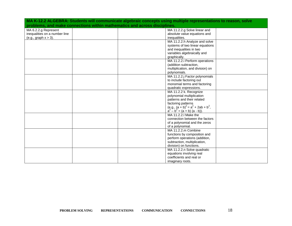|                                                                           | MA K-12.2 ALGEBRA: Students will communicate algebraic concepts using multiple representations to reason, solve |
|---------------------------------------------------------------------------|-----------------------------------------------------------------------------------------------------------------|
| problems, and make connections within mathematics and across disciplines. |                                                                                                                 |
| MA 6.2.2.g Represent                                                      | MA 11.2.2.g Solve linear and                                                                                    |
| inequalities on a number line                                             | absolute value equations and                                                                                    |
| (e.g., graph x > 3).                                                      | inequalities.                                                                                                   |
|                                                                           | MA 11.2.2.h Analyze and solve                                                                                   |
|                                                                           | systems of two linear equations                                                                                 |
|                                                                           | and inequalities in two                                                                                         |
|                                                                           | variables algebraically and                                                                                     |
|                                                                           | graphically.                                                                                                    |
|                                                                           | MA 11.2.2.i Perform operations                                                                                  |
|                                                                           | (addition subtraction,                                                                                          |
|                                                                           | multiplication, and division) on                                                                                |
|                                                                           | polynomials.                                                                                                    |
|                                                                           | MA 11.2.2.j Factor polynomials                                                                                  |
|                                                                           | to include factoring out                                                                                        |
|                                                                           | monomial terms and factoring                                                                                    |
|                                                                           | quadratic expressions.                                                                                          |
|                                                                           | MA 11.2.2 k. Recognize                                                                                          |
|                                                                           | polynomial multiplication                                                                                       |
|                                                                           | patterns and their related                                                                                      |
|                                                                           | factoring patterns                                                                                              |
|                                                                           | (e.g., $(a + b)^2 = a^2 + 2ab + b^2$ ,<br>$a^2 - b^2 = (a + b) (a - b)$ ).                                      |
|                                                                           |                                                                                                                 |
|                                                                           | MA 11.2.2.I Make the                                                                                            |
|                                                                           | connection between the factors                                                                                  |
|                                                                           | of a polynomial and the zeros                                                                                   |
|                                                                           | of a polynomial.                                                                                                |
|                                                                           | MA 11.2.2.m Combine                                                                                             |
|                                                                           | functions by composition and                                                                                    |
|                                                                           | perform operations (addition,                                                                                   |
|                                                                           | subtraction, multiplication,                                                                                    |
|                                                                           | division) on functions.                                                                                         |
|                                                                           | MA 11.2.2.n Solve quadratic                                                                                     |
|                                                                           | equations involving real                                                                                        |
|                                                                           | coefficients and real or                                                                                        |
|                                                                           | imaginary roots.                                                                                                |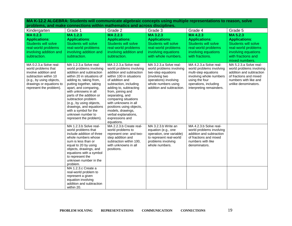| MA K-12.2 ALGEBRA: Students will communicate algebraic concepts using multiple representations to reason, solve                                                                   |                                                                                                                                                                                                                                                                                                                                                                                                         |                                                                                                                                                                                                                                                                                                                                                                                     |                                                                                                                                                                         |                                                                                                                                                                              |                                                                                                                                                             |
|-----------------------------------------------------------------------------------------------------------------------------------------------------------------------------------|---------------------------------------------------------------------------------------------------------------------------------------------------------------------------------------------------------------------------------------------------------------------------------------------------------------------------------------------------------------------------------------------------------|-------------------------------------------------------------------------------------------------------------------------------------------------------------------------------------------------------------------------------------------------------------------------------------------------------------------------------------------------------------------------------------|-------------------------------------------------------------------------------------------------------------------------------------------------------------------------|------------------------------------------------------------------------------------------------------------------------------------------------------------------------------|-------------------------------------------------------------------------------------------------------------------------------------------------------------|
|                                                                                                                                                                                   | problems, and make connections within mathematics and across disciplines.                                                                                                                                                                                                                                                                                                                               |                                                                                                                                                                                                                                                                                                                                                                                     |                                                                                                                                                                         |                                                                                                                                                                              |                                                                                                                                                             |
| Kindergarten                                                                                                                                                                      | Grade 1                                                                                                                                                                                                                                                                                                                                                                                                 | Grade 2                                                                                                                                                                                                                                                                                                                                                                             | Grade 3                                                                                                                                                                 | Grade 4                                                                                                                                                                      | Grade 5                                                                                                                                                     |
| MA0.2.3<br><b>Applications:</b><br><b>Students will solve</b><br>real-world problems<br>involving addition and<br>subtraction.                                                    | MA 1.2.3<br><b>Applications:</b><br><b>Students will solve</b><br>real-world problems<br>involving addition and<br>subtraction.                                                                                                                                                                                                                                                                         | $MA$ 2.2.3<br><b>Applications:</b><br><b>Students will solve</b><br>real-world problems<br>involving addition and<br>subtraction.                                                                                                                                                                                                                                                   | MA 3.2.3<br><b>Applications:</b><br><b>Students will solve</b><br>real-world problems<br>involving equations<br>with whole numbers.                                     | <b>MA4.2.3</b><br><b>Applications:</b><br><b>Students will solve</b><br>real-world problems<br>involving equations<br>with fractions.                                        | <b>MA 5.2.3</b><br><b>Applications:</b><br><b>Students will solve</b><br>real-world problems<br>involving equations<br>with fractions and<br>mixed numbers. |
| MA 0.2.3.a Solve real-<br>world problems that<br>involve addition and<br>subtraction within 10<br>(e.g., by using objects,<br>drawings or equations to<br>represent the problem). | MA 1.2.3.a Solve real-<br>world problems involving<br>addition and subtraction<br>within 20 in situations of<br>adding to, taking from,<br>putting together, taking<br>apart, and comparing,<br>with unknowns in all<br>parts of the addition or<br>subtraction problem<br>(e.g., by using objects,<br>drawings, and equations<br>with a symbol for the<br>unknown number to<br>represent the problem). | MA 2.2.3.a Solve real-<br>world problems involving<br>addition and subtraction<br>within 100 in situations<br>of addition and<br>subtraction, including<br>adding to, subtracting<br>from, joining and<br>separating, and<br>comparing situations<br>with unknowns in all<br>positions using objects,<br>models, drawings,<br>verbal explanations,<br>expressions and<br>equations. | MA 3.2.3.a Solve real-<br>world problems involving<br>two-step equations<br>(involving two<br>operations) involving<br>whole numbers using<br>addition and subtraction. | MA 4.2.3.a Solve real-<br>world problems involving<br>multi-step equations<br>involving whole numbers<br>using the four<br>operations, including<br>interpreting remainders. | MA 5.2.3.a Solve real-<br>world problems involving<br>addition and subtraction<br>of fractions and mixed<br>numbers with like and<br>unlike denominators.   |
|                                                                                                                                                                                   | MA 1.2.3.b Solve real-<br>world problems that<br>include addition of three<br>whole numbers whose<br>sum is less than or<br>equal to 20 by using<br>objects, drawings, and<br>equations with a symbol<br>to represent the<br>unknown number in the<br>problem.                                                                                                                                          | MA 2.2.3.b Create real-<br>world problems to<br>represent one- and two-<br>step addition and<br>subtraction within 100,<br>with unknowns in all<br>positions.                                                                                                                                                                                                                       | MA 3.2.3.b Write an<br>equation (e.g., one<br>operation, one variable)<br>to represent real-world<br>problems involving<br>whole numbers.                               | MA 4.2.3.b Solve real-<br>world problems involving<br>addition and subtraction<br>of fractions and mixed<br>numbers with like<br>denominators.                               |                                                                                                                                                             |
|                                                                                                                                                                                   | MA 1.2.3.c Create a<br>real-world problem to<br>represent a given<br>equation involving<br>addition and subtraction<br>within 20.                                                                                                                                                                                                                                                                       |                                                                                                                                                                                                                                                                                                                                                                                     |                                                                                                                                                                         |                                                                                                                                                                              |                                                                                                                                                             |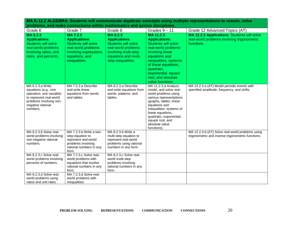| Grade 6                                            | Grade 7                          | Grade 8                          | Grades $9 - 11$                                    | Grade 12 Advanced Topics (AT)                      |
|----------------------------------------------------|----------------------------------|----------------------------------|----------------------------------------------------|----------------------------------------------------|
| MA 6.2.3                                           | MA 7.2.3                         | MA 8.2.3                         | MA 11.2.3                                          | <b>MA 12.2.3 Applications: Students will solve</b> |
| <b>Applications:</b>                               | <b>Applications:</b>             | <b>Applications:</b>             | <b>Applications:</b>                               | real-world problems involving trigonometric        |
| <b>Students will solve</b>                         | <b>Students will solve</b>       | <b>Students will solve</b>       | <b>Students will solve</b>                         | functions.                                         |
| real-world problems                                | real-world problems              | real-world problems              | real-world problems                                |                                                    |
| involving ratios, unit                             | involving expressions,           | involving multi-step             | involving linear                                   |                                                    |
| rates, and percents.                               | equations, and                   | equations and multi-             | equations and                                      |                                                    |
|                                                    | inequalities.                    | step inequalities.               | inequalities, systems                              |                                                    |
|                                                    |                                  |                                  | of linear equations,                               |                                                    |
|                                                    |                                  |                                  | quadratic,                                         |                                                    |
|                                                    |                                  |                                  | exponential, square                                |                                                    |
|                                                    |                                  |                                  | root, and absolute                                 |                                                    |
|                                                    |                                  |                                  | value functions.                                   |                                                    |
| MA 6.2.3.a Write                                   | MA 7.2.3.a Describe              | MA 8.2.3.a Describe              | MA 11.2.3.a Analyze,                               | MA 12.2.3.a (AT) Model periodic events with        |
| equations (e.g., one                               | and write linear                 | and write equations from         | model, and solve real-                             | specified amplitude, frequency, and shifts.        |
| operation, one variable)                           | equations from words             | words, patterns, and             | world problems using                               |                                                    |
| to represent real-world<br>problems involving non- | and tables.                      | tables.                          | various representations<br>(graphs, tables, linear |                                                    |
| negative rational                                  |                                  |                                  | equations and                                      |                                                    |
| numbers.                                           |                                  |                                  | inequalities, systems of                           |                                                    |
|                                                    |                                  |                                  | linear equations,                                  |                                                    |
|                                                    |                                  |                                  | quadratic, exponential,                            |                                                    |
|                                                    |                                  |                                  | square root, and                                   |                                                    |
|                                                    |                                  |                                  | absolute value                                     |                                                    |
| MA 6.2.3.b Solve real-                             | MA 7.2.3.b Write a two-          | MA 8.2.3.b Write a               | functions).                                        | MA 12.2.3.b (AT) Solve real-world problems using   |
| world problems involving                           | step equation to                 | multi-step equation to           |                                                    | trigonometric and inverse trigonometric functions. |
| non-negative rational                              | represent real-world             | represent real-world             |                                                    |                                                    |
| numbers.                                           | problems involving               | problems using rational          |                                                    |                                                    |
|                                                    | rational numbers in any          | numbers in any form.             |                                                    |                                                    |
|                                                    | form.                            |                                  |                                                    |                                                    |
| MA 6.2.3.c Solve real-                             | MA 7.2.3.c Solve real-           | MA 8.2.3.c Solve real-           |                                                    |                                                    |
| world problems involving                           | world problems with              | world multi-step                 |                                                    |                                                    |
| percents of numbers.                               | equations that involve           | problems involving               |                                                    |                                                    |
|                                                    | rational numbers in any<br>form. | rational numbers in any<br>form. |                                                    |                                                    |
| MA 6.2.3.d Solve real-                             | MA 7.2.3.d Solve real-           |                                  |                                                    |                                                    |
| world problems using                               | world problems with              |                                  |                                                    |                                                    |
| ratios and unit rates.                             | inequalities.                    |                                  |                                                    |                                                    |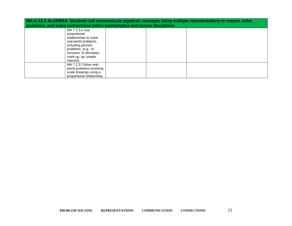| MA K-12.2 ALGEBRA: Students will communicate algebraic concepts using multiple representations to reason, solve<br>problems, and make connections within mathematics and across disciplines. |  |  |  |  |
|----------------------------------------------------------------------------------------------------------------------------------------------------------------------------------------------|--|--|--|--|
| MA 7.2.3.e Use<br>proportional<br>relationships to solve<br>real-world problems,<br>including percent<br>problems, (e.g., %<br>increase, % decrease,<br>mark-up, tip, simple<br>interest).   |  |  |  |  |
| MA 7.2.3.f Solve real-<br>world problems involving<br>scale drawings using a<br>proportional relationship.                                                                                   |  |  |  |  |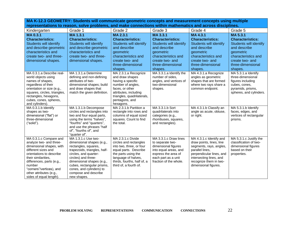**MA K-12.3 GEOMETRY: Students will communicate geometric concepts and measurement concepts using multiple representations to reason, solve problems, and make connections within mathematics and across disciplines.**

| Kindergarten                                                                                                                                                                                                                                                                     | Grade 1                                                                                                                                                                                                                                                                                | Grade 2                                                                                                                                                                                                 | Grade 3                                                                                                                                                           | Grade 4                                                                                                                                                                                                    | Grade 5                                                                                                                                                  |
|----------------------------------------------------------------------------------------------------------------------------------------------------------------------------------------------------------------------------------------------------------------------------------|----------------------------------------------------------------------------------------------------------------------------------------------------------------------------------------------------------------------------------------------------------------------------------------|---------------------------------------------------------------------------------------------------------------------------------------------------------------------------------------------------------|-------------------------------------------------------------------------------------------------------------------------------------------------------------------|------------------------------------------------------------------------------------------------------------------------------------------------------------------------------------------------------------|----------------------------------------------------------------------------------------------------------------------------------------------------------|
| MA 0.3.1                                                                                                                                                                                                                                                                         | MA 1.3.1                                                                                                                                                                                                                                                                               | MA 2.3.1                                                                                                                                                                                                | MA 3.3.1                                                                                                                                                          | MA 4.3.1                                                                                                                                                                                                   | MA 5.3.1                                                                                                                                                 |
| <b>Characteristics:</b><br>Students will identify<br>and describe geometric<br>characteristics and<br>create two- and three-<br>dimensional shapes.                                                                                                                              | <b>Characteristics:</b><br>Students will identify<br>and describe geometric<br>characteristics and<br>create two- and three-<br>dimensional shapes.                                                                                                                                    | <b>Characteristics:</b><br>Students will identify<br>and describe<br>geometric<br>characteristics and<br>create two- and<br>three-dimensional<br>shapes.                                                | <b>Characteristics:</b><br><b>Students will identify</b><br>and describe<br>geometric<br>characteristics and<br>create two- and<br>three-dimensional<br>shapes.   | <b>Characteristics:</b><br>Students will identify<br>and describe<br>geometric<br>characteristics and<br>create two- and<br>three-dimensional<br>shapes.                                                   | <b>Characteristics:</b><br>Students will identify<br>and describe<br>geometric<br>characteristics and<br>create two- and<br>three-dimensional<br>shapes. |
| MA 0.3.1.a Describe real-<br>world objects using<br>names of shapes,<br>regardless of their<br>orientation or size (e.g.,<br>squares, circles, triangles,<br>rectangles, hexagons,<br>cubes, cones, spheres,<br>and cylinders).                                                  | MA 1.3.1.a Determine<br>defining and non-defining<br>attributes of two-<br>dimensional shapes; build<br>and draw shapes that<br>match the given definition.                                                                                                                            | MA 2.3.1.a Recognize<br>and draw shapes<br>having a specific<br>number of angles,<br>faces, or other<br>attributes, including<br>triangles, quadrilaterals,<br>pentagons, and<br>hexagons.              | MA 3.3.1.a Identify the<br>number of sides,<br>angles, and vertices of<br>two-dimensional<br>shapes.                                                              | MA 4.3.1.a Recognize<br>angles as geometric<br>shapes that are formed<br>where two rays share a<br>common endpoint.                                                                                        | MA 5.3.1.a Identify<br>three-dimensional<br>figures including<br>cubes, cones,<br>pyramids, prisms,<br>spheres, and cylinders.                           |
| MA 0.3.1.b Identify<br>shapes as two-<br>dimensional ("flat") or<br>three-dimensional<br>("solid").                                                                                                                                                                              | MA 1.3.1.b Decompose<br>circles and rectangles into<br>two and four equal parts,<br>using the terms "halves",<br>"fourths" and "quarters",<br>and use the phrases "half<br>of", "fourths of", and<br>"quarter of".                                                                     | MA 2.3.1.b Partition a<br>rectangle into rows and<br>columns of equal sized<br>squares. Count to find<br>the total.                                                                                     | MA 3.3.1.b Sort<br>quadrilaterals into<br>categories (e.g.,<br>rhombuses, squares,<br>and rectangles).                                                            | MA 4.3.1.b Classify an<br>angle as acute, obtuse,<br>or right.                                                                                                                                             | MA 5.3.1.b Identify<br>faces, edges, and<br>vertices of rectangular<br>prisms.                                                                           |
| MA 0.3.1.c Compare and<br>analyze two- and three-<br>dimensional shapes, with<br>different sizes and<br>orientations to describe<br>their similarities.<br>differences, parts (e.g.,<br>number<br>"corners"/vertices), and<br>other attributes (e.g.,<br>sides of equal length). | MA 1.3.1.c Use two-<br>dimensional shapes (e.g.,<br>rectangles, squares,<br>trapezoids, triangles, half-<br>circles, and quarter-<br>circles) and three-<br>dimensional shapes (e.g.,<br>cubes, rectangular prisms,<br>cones, and cylinders) to<br>compose and describe<br>new shapes. | MA 2.3.1.c Divide<br>circles and rectangles<br>into two, three, or four<br>equal parts. Describe<br>the parts using the<br>language of halves,<br>thirds, fourths, half of, a<br>third of, a fourth of. | MA 3.3.1.c Draw lines<br>to separate two-<br>dimensional figures<br>into equal areas, and<br>express the area of<br>each part as a unit<br>fraction of the whole. | MA 4.3.1.c Identify and<br>draw points, lines, line<br>segments, rays, angles,<br>parallel lines,<br>perpendicular lines, and<br>intersecting lines, and<br>recognize them in two-<br>dimensional figures. | MA 5.3.1.c Justify the<br>classification of two-<br>dimensional figures<br>based on their<br>properties.                                                 |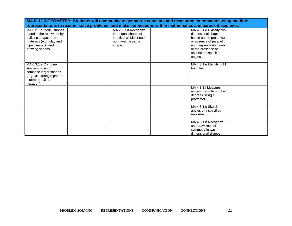|                             | MA K-12.3 GEOMETRY: Students will communicate geometric concepts and measurement concepts using multiple |                                                                                                            |  |  |
|-----------------------------|----------------------------------------------------------------------------------------------------------|------------------------------------------------------------------------------------------------------------|--|--|
|                             |                                                                                                          | representations to reason, solve problems, and make connections within mathematics and across disciplines. |  |  |
| MA 0.3.1.d Model shapes     | MA 2.3.1.d Recognize                                                                                     | MA 4.3.1.d Classify two-                                                                                   |  |  |
| found in the real world by  | that equal shares of                                                                                     | dimensional shapes                                                                                         |  |  |
| building shapes from        | identical wholes need                                                                                    | based on the presence                                                                                      |  |  |
| materials (e.g., clay and   | not have the same                                                                                        | or absence of parallel                                                                                     |  |  |
| pipe cleaners) and          | shape.                                                                                                   | and perpendicular lines,                                                                                   |  |  |
| drawing shapes.             |                                                                                                          | or the presence or                                                                                         |  |  |
|                             |                                                                                                          | absence of specific                                                                                        |  |  |
|                             |                                                                                                          | angles.                                                                                                    |  |  |
| MA 0.3.1.e Combine          |                                                                                                          | MA 4.3.1.e Identify right                                                                                  |  |  |
| simple shapes to            |                                                                                                          | triangles.                                                                                                 |  |  |
| compose larger shapes       |                                                                                                          |                                                                                                            |  |  |
| (e.g., use triangle pattern |                                                                                                          |                                                                                                            |  |  |
| blocks to build a           |                                                                                                          |                                                                                                            |  |  |
| hexagon).                   |                                                                                                          |                                                                                                            |  |  |
|                             |                                                                                                          | MA 4.3.1.f Measure                                                                                         |  |  |
|                             |                                                                                                          | angles in whole number                                                                                     |  |  |
|                             |                                                                                                          | degrees using a<br>protractor.                                                                             |  |  |
|                             |                                                                                                          |                                                                                                            |  |  |
|                             |                                                                                                          | MA 4.3.1.g Sketch                                                                                          |  |  |
|                             |                                                                                                          | angles of a specified                                                                                      |  |  |
|                             |                                                                                                          | measure.                                                                                                   |  |  |
|                             |                                                                                                          |                                                                                                            |  |  |
|                             |                                                                                                          | MA 4.3.1.h Recognize                                                                                       |  |  |
|                             |                                                                                                          | and draw lines of                                                                                          |  |  |
|                             |                                                                                                          | symmetry in two-<br>dimensional shapes.                                                                    |  |  |
|                             |                                                                                                          |                                                                                                            |  |  |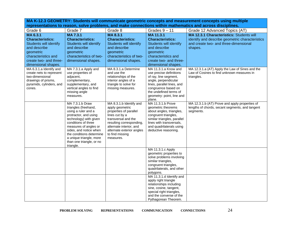**MA K-12.3 GEOMETRY: Students will communicate geometric concepts and measurement concepts using multiple representations to reason, solve problems, and make connections within mathematics and across disciplines.** Grade 6 Grade 7 Grade 8 Grade 8 Grades 9 – 11 Grade 12 Advanced Topics (AT) **MA 6.3.1 Characteristics:**  Students will identify and describe geometric characteristics and create two- and threedimensional shapes. **MA 7.3.1 Characteristics:**  Students will identify and describe geometric characteristics of twodimensional shapes. **MA 8.3.1 Characteristics:**  Students will identify and describe geometric characteristics of twodimensional shapes. **MA 11.3.1 Characteristics:**  Students will identify and describe geometric characteristics and create two- and threedimensional shapes. **MA 12.3.1 Characteristics:** Students will identify and describe geometric characteristics and create two- and three-dimensional shapes. MA 6.3.1.a Identify and create nets to represent two-dimensional drawings of prisms, pyramids, cylinders, and cones. MA 7.3.1.a Apply and use properties of adjacent, complementary, supplementary, and vertical angles to find missing angle measures. MA 8.3.1.a Determine and use the relationships of the interior angles of a triangle to solve for missing measures. MA 11.3.1.a Know and use precise definitions of ray, line segment, angle, perpendicular lines, parallel lines, and congruence based on the undefined terms of geometry: point, line and plane. MA 12.3.1.a (AT) Apply the Law of Sines and the Law of Cosines to find unknown measures in triangles. MA 7.3.1.b Draw triangles (freehand, using a ruler and a protractor, and using technology) with given conditions of three measures of angles or sides, and notice when the conditions determine a unique triangle, more than one triangle, or no triangle. MA 8.3.1.b Identify and apply geometric properties of parallel lines cut by a transversal and the resulting corresponding, alternate interior, and alternate exterior angles to find missing measures. MA 11.3.1.b Prove geometric theorems about angles, triangles, congruent triangles, similar triangles, parallel lines with transversals, and quadrilaterals using deductive reasoning. MA 12.3.1.b (AT) Prove and apply properties of lengths of chords, secant segments, and tangent seaments. MA 11.3.1.c Apply geometric properties to solve problems involving similar triangles. congruent triangles, quadrilaterals, and other polygons. MA 11.3.1.d Identify and apply right triangle relationships including sine, cosine, tangent, special right triangles, and the converse of the Pythagorean Theorem.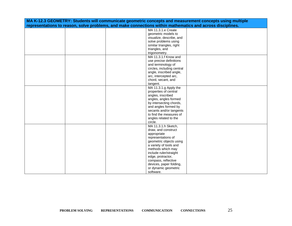| MA K-12.3 GEOMETRY: Students will communicate geometric concepts and measurement concepts using multiple   |  |  |  |  |  |  |
|------------------------------------------------------------------------------------------------------------|--|--|--|--|--|--|
| representations to reason, solve problems, and make connections within mathematics and across disciplines. |  |  |  |  |  |  |
| MA 11.3.1.e Create                                                                                         |  |  |  |  |  |  |
| geometric models to                                                                                        |  |  |  |  |  |  |
| visualize, describe, and                                                                                   |  |  |  |  |  |  |
| solve problems using                                                                                       |  |  |  |  |  |  |
| similar triangles, right                                                                                   |  |  |  |  |  |  |
| triangles, and                                                                                             |  |  |  |  |  |  |
| trigonometry.                                                                                              |  |  |  |  |  |  |
| MA 11.3.1.f Know and                                                                                       |  |  |  |  |  |  |
| use precise definitions                                                                                    |  |  |  |  |  |  |
| and terminology of                                                                                         |  |  |  |  |  |  |
| circles, including central                                                                                 |  |  |  |  |  |  |
| angle, inscribed angle,                                                                                    |  |  |  |  |  |  |
| arc, intercepted arc,                                                                                      |  |  |  |  |  |  |
| chord, secant, and                                                                                         |  |  |  |  |  |  |
| tangent.                                                                                                   |  |  |  |  |  |  |
| MA 11.3.1.g Apply the                                                                                      |  |  |  |  |  |  |
| properties of central                                                                                      |  |  |  |  |  |  |
| angles, inscribed                                                                                          |  |  |  |  |  |  |
| angles, angles formed                                                                                      |  |  |  |  |  |  |
| by intersecting chords,                                                                                    |  |  |  |  |  |  |
| and angles formed by                                                                                       |  |  |  |  |  |  |
| secants and/or tangents                                                                                    |  |  |  |  |  |  |
| to find the measures of                                                                                    |  |  |  |  |  |  |
| angles related to the                                                                                      |  |  |  |  |  |  |
| circle.                                                                                                    |  |  |  |  |  |  |
| MA 11.3.1.h Sketch,                                                                                        |  |  |  |  |  |  |
| draw, and construct                                                                                        |  |  |  |  |  |  |
| appropriate                                                                                                |  |  |  |  |  |  |
| representations of                                                                                         |  |  |  |  |  |  |
| geometric objects using                                                                                    |  |  |  |  |  |  |
| a variety of tools and                                                                                     |  |  |  |  |  |  |
| methods which may                                                                                          |  |  |  |  |  |  |
| include ruler/straight                                                                                     |  |  |  |  |  |  |
| edge, protractor,                                                                                          |  |  |  |  |  |  |
| compass, reflective                                                                                        |  |  |  |  |  |  |
| devices, paper folding,                                                                                    |  |  |  |  |  |  |
| or dynamic geometric                                                                                       |  |  |  |  |  |  |
| software.                                                                                                  |  |  |  |  |  |  |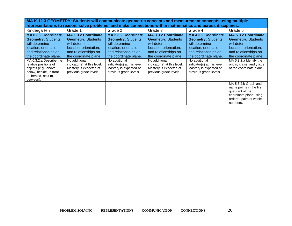**MA K-12.3 GEOMETRY: Students will communicate geometric concepts and measurement concepts using multiple representations to reason, solve problems, and make connections within mathematics and across disciplines.**

| Kindergarten                                                                                                                                                                                                                                                                                      | Grade 1                                                                                                                                                                                                                                                  | Grade 2                                                                                                                                                                                                                                                  | Grade 3                                                                                                                                                                                                                                                  | Grade 4                                                                                                                                                                                                                                                  | Grade 5                                                                                                                                                                                                                                   |
|---------------------------------------------------------------------------------------------------------------------------------------------------------------------------------------------------------------------------------------------------------------------------------------------------|----------------------------------------------------------------------------------------------------------------------------------------------------------------------------------------------------------------------------------------------------------|----------------------------------------------------------------------------------------------------------------------------------------------------------------------------------------------------------------------------------------------------------|----------------------------------------------------------------------------------------------------------------------------------------------------------------------------------------------------------------------------------------------------------|----------------------------------------------------------------------------------------------------------------------------------------------------------------------------------------------------------------------------------------------------------|-------------------------------------------------------------------------------------------------------------------------------------------------------------------------------------------------------------------------------------------|
| <b>MA 0.3.2 Coordinate</b><br><b>Geometry: Students</b><br>will determine<br>location, orientation,<br>and relationships on<br>the coordinate plane.<br>MA 0.3.2.a Describe the<br>relative positions of<br>objects (e.g., above,<br>below, beside, in front<br>of, behind, next to,<br>between). | <b>MA 1.3.2 Coordinate</b><br><b>Geometry: Students</b><br>will determine<br>location, orientation,<br>and relationships on<br>the coordinate plane.<br>No additional<br>indicator(s) at this level.<br>Mastery is expected at<br>previous grade levels. | <b>MA 2.3.2 Coordinate</b><br><b>Geometry: Students</b><br>will determine<br>location, orientation,<br>and relationships on<br>the coordinate plane.<br>No additional<br>indicator(s) at this level.<br>Mastery is expected at<br>previous grade levels. | <b>MA 3.3.2 Coordinate</b><br><b>Geometry: Students</b><br>will determine<br>location, orientation,<br>and relationships on<br>the coordinate plane.<br>No additional<br>indicator(s) at this level.<br>Mastery is expected at<br>previous grade levels. | <b>MA 4.3.2 Coordinate</b><br><b>Geometry: Students</b><br>will determine<br>location, orientation,<br>and relationships on<br>the coordinate plane.<br>No additional<br>indicator(s) at this level.<br>Mastery is expected at<br>previous grade levels. | <b>MA 5.3.2 Coordinate</b><br><b>Geometry: Students</b><br>will determine<br>location, orientation,<br>and relationships on<br>the coordinate plane.<br>MA 5.3.2.a Identify the<br>origin, x axis, and y axis<br>of the coordinate plane. |
|                                                                                                                                                                                                                                                                                                   |                                                                                                                                                                                                                                                          |                                                                                                                                                                                                                                                          |                                                                                                                                                                                                                                                          |                                                                                                                                                                                                                                                          | MA 5.3.2.b Graph and<br>name points in the first<br>quadrant of the<br>coordinate plane using<br>ordered pairs of whole<br>numbers.                                                                                                       |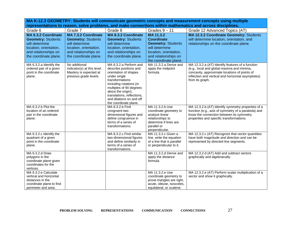**MA K-12.3 GEOMETRY: Students will communicate geometric concepts and measurement concepts using multiple representations to reason, solve problems, and make connections within mathematics and across disciplines.**

| Grade 6                                                                                                                                       | Grade 7                                                                                                                                              | Grade 8                                                                                                                                                                                                                                                                     | Grades $9 - 11$                                                                                                                                          | Grade 12 Advanced Topics (AT)                                                                                                                                                                                            |
|-----------------------------------------------------------------------------------------------------------------------------------------------|------------------------------------------------------------------------------------------------------------------------------------------------------|-----------------------------------------------------------------------------------------------------------------------------------------------------------------------------------------------------------------------------------------------------------------------------|----------------------------------------------------------------------------------------------------------------------------------------------------------|--------------------------------------------------------------------------------------------------------------------------------------------------------------------------------------------------------------------------|
| MA 6.3.2 Coordinate<br><b>Geometry: Students</b><br>will determine<br>location, orientation,<br>and relationships on<br>the coordinate plane. | <b>MA 7.3.2 Coordinate</b><br><b>Geometry: Students</b><br>will determine<br>location, orientation,<br>and relationships on<br>the coordinate plane. | <b>MA 8.3.2 Coordinate</b><br><b>Geometry: Students</b><br>will determine<br>location, orientation,<br>and relationships on<br>the coordinate plane.                                                                                                                        | MA 11.3.2<br><b>Coordinate</b><br><b>Geometry: Students</b><br>will determine<br>location, orientation,<br>and relationships on<br>the coordinate plane. | MA 12.3.2 Coordinate Geometry: Students<br>will determine location, orientation, and<br>relationships on the coordinate plane.                                                                                           |
| MA 6.3.2.a Identify the<br>ordered pair of a given<br>point in the coordinate<br>plane.                                                       | No additional<br>indicator(s) at this level.<br>Mastery is expected at<br>previous grade levels.                                                     | MA 8.3.2.a Perform and<br>describe positions and<br>orientation of shapes<br>under single<br>transformations<br>including rotations (in<br>multiples of 90 degrees<br>about the origin),<br>translations, reflections,<br>and dilations on and off<br>the coordinate plane. | MA 11.3.2.a Derive and<br>apply the midpoint<br>formula.                                                                                                 | MA 12.3.2.a (AT) Identify features of a function<br>(e.g., local and global maxima and minima,<br>concavity, approximate locations of points of<br>inflection and vertical and horizontal asymptotes)<br>from its graph. |
| MA 6.3.2.b Plot the<br>location of an ordered<br>pair in the coordinate<br>plane.                                                             |                                                                                                                                                      | MA 8.3.2.b Find<br>congruent two-<br>dimensional figures and<br>define congruence in<br>terms of a series of<br>transformations.                                                                                                                                            | MA 11.3.2.b Use<br>coordinate geometry to<br>analyze linear<br>relationships to<br>determine if lines are<br>parallel or<br>perpendicular.               | MA 12.3.2.b (AT) Identify symmetry properties of a<br>function (e.g., axis of symmetry of a parabola) and<br>know the connection between its symmetry<br>properties and specific transformations.                        |
| MA 6.3.2.c Identify the<br>quadrant of a given<br>point in the coordinate<br>plane.                                                           |                                                                                                                                                      | MA 8.3.2.c Find similar<br>two-dimensional figures<br>and define similarity in<br>terms of a series of<br>transformations.                                                                                                                                                  | MA 11.3.2.c Given a<br>line, write the equation<br>of a line that is parallel<br>or perpendicular to it.                                                 | MA 12.3.2.c (AT) Recognize that vector quantities<br>have both magnitude and direction and can be<br>represented by directed line segments.                                                                              |
| MA 6.3.2.d Draw<br>polygons in the<br>coordinate plane given<br>coordinates for the<br>vertices.                                              |                                                                                                                                                      |                                                                                                                                                                                                                                                                             | MA 11.3.2.d Derive and<br>apply the distance<br>formula.                                                                                                 | MA 12.3.2.d (AT) Add and subtract vectors<br>graphically and algebraically.                                                                                                                                              |
| MA 6.3.2.e Calculate<br>vertical and horizontal<br>distances in the<br>coordinate plane to find<br>perimeter and area.                        |                                                                                                                                                      |                                                                                                                                                                                                                                                                             | MA 11.3.2.e Use<br>coordinate geometry to<br>prove triangles are right,<br>acute, obtuse, isosceles,<br>equilateral, or scalene.                         | MA 12.3.2.e (AT) Perform scalar multiplication of a<br>vector and show it graphically.                                                                                                                                   |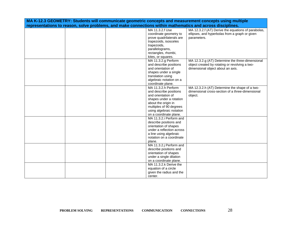| MA K-12.3 GEOMETRY: Students will communicate geometric concepts and measurement concepts using multiple   |                           |                                                     |  |  |
|------------------------------------------------------------------------------------------------------------|---------------------------|-----------------------------------------------------|--|--|
| representations to reason, solve problems, and make connections within mathematics and across disciplines. |                           |                                                     |  |  |
|                                                                                                            | MA 11.3.2.f Use           | MA 12.3.2.f (AT) Derive the equations of parabolas, |  |  |
|                                                                                                            | coordinate geometry to    | ellipses, and hyperbolas from a graph or given      |  |  |
|                                                                                                            | prove quadrilaterals are  | parameters.                                         |  |  |
|                                                                                                            | trapezoids, isosceles     |                                                     |  |  |
|                                                                                                            | trapezoids,               |                                                     |  |  |
|                                                                                                            | parallelograms,           |                                                     |  |  |
|                                                                                                            | rectangles, rhombi,       |                                                     |  |  |
|                                                                                                            | kites, or squares.        |                                                     |  |  |
|                                                                                                            | MA 11.3.2.g Perform       | MA 12.3.2.g (AT) Determine the three-dimensional    |  |  |
|                                                                                                            | and describe positions    | object created by rotating or revolving a two-      |  |  |
|                                                                                                            | and orientation of        | dimensional object about an axis.                   |  |  |
|                                                                                                            | shapes under a single     |                                                     |  |  |
|                                                                                                            | translation using         |                                                     |  |  |
|                                                                                                            | algebraic notation on a   |                                                     |  |  |
|                                                                                                            | coordinate plane.         |                                                     |  |  |
|                                                                                                            | MA 11.3.2.h Perform       | MA 12.3.2.h (AT) Determine the shape of a two-      |  |  |
|                                                                                                            | and describe positions    | dimensional cross-section of a three-dimensional    |  |  |
|                                                                                                            | and orientation of        | object.                                             |  |  |
|                                                                                                            | shapes under a rotation   |                                                     |  |  |
|                                                                                                            | about the origin in       |                                                     |  |  |
|                                                                                                            | multiples of 90 degrees   |                                                     |  |  |
|                                                                                                            | using algebraic notation  |                                                     |  |  |
|                                                                                                            | on a coordinate plane.    |                                                     |  |  |
|                                                                                                            | MA 11.3.2.i Perform and   |                                                     |  |  |
|                                                                                                            | describe positions and    |                                                     |  |  |
|                                                                                                            | orientation of shapes     |                                                     |  |  |
|                                                                                                            | under a reflection across |                                                     |  |  |
|                                                                                                            | a line using algebraic    |                                                     |  |  |
|                                                                                                            | notation on a coordinate  |                                                     |  |  |
|                                                                                                            | plane.                    |                                                     |  |  |
|                                                                                                            | MA 11.3.2.j Perform and   |                                                     |  |  |
|                                                                                                            | describe positions and    |                                                     |  |  |
|                                                                                                            | orientation of shapes     |                                                     |  |  |
|                                                                                                            | under a single dilation   |                                                     |  |  |
|                                                                                                            | on a coordinate plane.    |                                                     |  |  |
|                                                                                                            | MA 11.3.2.k Derive the    |                                                     |  |  |
|                                                                                                            | equation of a circle      |                                                     |  |  |
|                                                                                                            | given the radius and the  |                                                     |  |  |
|                                                                                                            | center.                   |                                                     |  |  |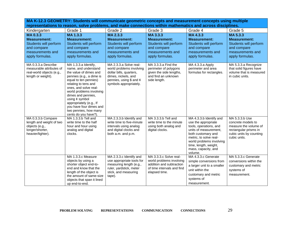| MA K-12.3 GEOMETRY: Students will communicate geometric concepts and measurement concepts using multiple<br>representations to reason, solve problems, and make connections within mathematics and across disciplines. |                                                                                                                                                                                                                                                                                                                                                         |                                                                                                                                                                |                                                                                                                               |                                                                                                                                                                                                                                          |                                                                                                                                   |
|------------------------------------------------------------------------------------------------------------------------------------------------------------------------------------------------------------------------|---------------------------------------------------------------------------------------------------------------------------------------------------------------------------------------------------------------------------------------------------------------------------------------------------------------------------------------------------------|----------------------------------------------------------------------------------------------------------------------------------------------------------------|-------------------------------------------------------------------------------------------------------------------------------|------------------------------------------------------------------------------------------------------------------------------------------------------------------------------------------------------------------------------------------|-----------------------------------------------------------------------------------------------------------------------------------|
| Kindergarten                                                                                                                                                                                                           | Grade 1                                                                                                                                                                                                                                                                                                                                                 | Grade 2                                                                                                                                                        | Grade 3                                                                                                                       | Grade 4                                                                                                                                                                                                                                  | Grade 5                                                                                                                           |
| MA0.3.3<br><b>Measurement:</b><br>Students will perform<br>and compare<br>measurements and<br>apply formulas.                                                                                                          | MA 1.3.3<br><b>Measurement:</b><br>Students will perform<br>and compare<br>measurements and<br>apply formulas.                                                                                                                                                                                                                                          | MA 2.3.3<br><b>Measurement:</b><br>Students will perform<br>and compare<br>measurements and<br>apply formulas.                                                 | MA 3.3.3<br><b>Measurement:</b><br>Students will perform<br>and compare<br>measurements and<br>apply formulas.                | MA 4.3.3<br><b>Measurement:</b><br>Students will perform<br>and compare<br>measurements and<br>apply formulas.                                                                                                                           | MA 5.3.3<br><b>Measurement:</b><br>Students will perform<br>and compare<br>measurements and<br>apply formulas.                    |
| MA 0.3.3.a Describe<br>measurable attributes of<br>real-world objects (e.g.,<br>length or weight).                                                                                                                     | MA 1.3.3.a Identify,<br>name, and understand<br>the value of dimes and<br>pennies (e.g., a dime is<br>equal to ten pennies)<br>relating to tens and<br>ones, and solve real-<br>world problems involving<br>dimes and pennies,<br>using ¢ symbol<br>appropriately (e.g., If<br>you have four dimes and<br>two pennies, how many<br>cents do you have?). | MA 2.3.3.a Solve real-<br>world problems involving<br>dollar bills, quarters,<br>dimes, nickels, and<br>pennies, using \$ and $\phi$<br>symbols appropriately. | MA 3.3.3.a Find the<br>perimeter of polygons<br>given the side lengths,<br>and find an unknown<br>side length.                | MA 4.3.3.a Apply<br>perimeter and area<br>formulas for rectangles.                                                                                                                                                                       | MA 5.3.3.a Recognize<br>that solid figures have<br>volume that is measured<br>in cubic units.                                     |
| MA 0.3.3.b Compare<br>length and weight of two<br>objects (e.g.,<br>longer/shorter,<br>heavier/lighter).                                                                                                               | MA 1.3.3.b Tell and<br>write time to the half<br>hour and hour using<br>analog and digital<br>clocks.                                                                                                                                                                                                                                                   | MA 2.3.3.b Identify and<br>write time to five-minute<br>intervals using analog<br>and digital clocks and<br>both a.m. and p.m.                                 | MA 3.3.3.b Tell and<br>write time to the minute<br>using both analog and<br>digital clocks.                                   | MA 4.3.3.b Identify and<br>use the appropriate<br>tools, operations, and<br>units of measurement,<br>both customary and<br>metric, to solve real-<br>world problems involving<br>time, length, weight,<br>mass, capacity, and<br>volume. | MA 5.3.3.b Use<br>concrete models to<br>measure the volume of<br>rectangular prisms in<br>cubic units by counting<br>cubic units. |
|                                                                                                                                                                                                                        | MA 1.3.3.c Measure<br>objects by using a<br>shorter object end-to-<br>end and know that the<br>length of the object is<br>the amount of same-size<br>objects that span it lined<br>up end-to-end.                                                                                                                                                       | MA 2.3.3.c Identify and<br>use appropriate tools for<br>measuring length (e.g.,<br>ruler, yardstick, meter<br>stick, and measuring<br>tape).                   | MA 3.3.3.c Solve real-<br>world problems involving<br>addition and subtraction<br>of time intervals and find<br>elapsed time. | MA 4.3.3.c Generate<br>simple conversions from<br>a larger unit to a smaller<br>unit within the<br>customary and metric<br>systems of<br>measurement.                                                                                    | MA 5.3.3.c Generate<br>conversions within the<br>customary and metric<br>systems of<br>measurement.                               |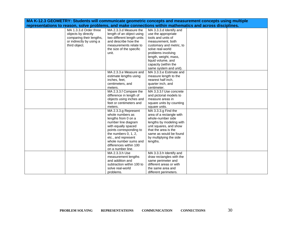| MA K-12.3 GEOMETRY: Students will communicate geometric concepts and measurement concepts using multiple |                                                                                                            |                          |  |  |
|----------------------------------------------------------------------------------------------------------|------------------------------------------------------------------------------------------------------------|--------------------------|--|--|
|                                                                                                          | representations to reason, solve problems, and make connections within mathematics and across disciplines. |                          |  |  |
| MA 1.3.3.d Order three                                                                                   | MA 2.3.3.d Measure the                                                                                     | MA 3.3.3.d Identify and  |  |  |
| objects by directly                                                                                      | length of an object using                                                                                  | use the appropriate      |  |  |
| comparing their lengths,                                                                                 | two different length units                                                                                 | tools and units of       |  |  |
| or indirectly by using a                                                                                 | and describe how the                                                                                       | measurement, both        |  |  |
| third object.                                                                                            | measurements relate to                                                                                     | customary and metric, to |  |  |
|                                                                                                          | the size of the specific                                                                                   | solve real-world         |  |  |
|                                                                                                          | unit.                                                                                                      | problems involving       |  |  |
|                                                                                                          |                                                                                                            | length, weight, mass,    |  |  |
|                                                                                                          |                                                                                                            | liquid volume, and       |  |  |
|                                                                                                          |                                                                                                            | capacity (within the     |  |  |
|                                                                                                          |                                                                                                            | same system and unit).   |  |  |
|                                                                                                          | MA 2.3.3.e Measure and                                                                                     | MA 3.3.3.e Estimate and  |  |  |
|                                                                                                          | estimate lengths using                                                                                     | measure length to the    |  |  |
|                                                                                                          | inches, feet,                                                                                              | nearest half inch,       |  |  |
|                                                                                                          | centimeters, and                                                                                           | quarter inch, and        |  |  |
|                                                                                                          | meters.                                                                                                    | centimeter.              |  |  |
|                                                                                                          | MA 2.3.3.f Compare the                                                                                     | MA 3.3.3.f Use concrete  |  |  |
|                                                                                                          | difference in length of                                                                                    | and pictorial models to  |  |  |
|                                                                                                          | objects using inches and                                                                                   | measure areas in         |  |  |
|                                                                                                          | feet or centimeters and                                                                                    | square units by counting |  |  |
|                                                                                                          | meters.                                                                                                    | square units.            |  |  |
|                                                                                                          | MA 2.3.3.g Represent                                                                                       | MA 3.3.3.g Find the      |  |  |
|                                                                                                          | whole numbers as                                                                                           | area of a rectangle with |  |  |
|                                                                                                          | lengths from 0 on a                                                                                        | whole-number side        |  |  |
|                                                                                                          | number line diagram                                                                                        | lengths by modeling with |  |  |
|                                                                                                          | with equally spaced                                                                                        | unit squares, and show   |  |  |
|                                                                                                          | points corresponding to                                                                                    | that the area is the     |  |  |
|                                                                                                          | the numbers 0, 1, 2,                                                                                       | same as would be found   |  |  |
|                                                                                                          | etc., and represent                                                                                        | by multiplying the side  |  |  |
|                                                                                                          | whole number sums and                                                                                      | lengths.                 |  |  |
|                                                                                                          | differences within 100                                                                                     |                          |  |  |
|                                                                                                          | on a number line.                                                                                          |                          |  |  |
|                                                                                                          | MA 2.3.3.h Use                                                                                             | MA 3.3.3.h Identify and  |  |  |
|                                                                                                          | measurement lengths                                                                                        | draw rectangles with the |  |  |
|                                                                                                          | and addition and                                                                                           | same perimeter and       |  |  |
|                                                                                                          | subtraction within 100 to                                                                                  | different areas or with  |  |  |
|                                                                                                          | solve real-world                                                                                           | the same area and        |  |  |
|                                                                                                          | problems.                                                                                                  | different perimeters.    |  |  |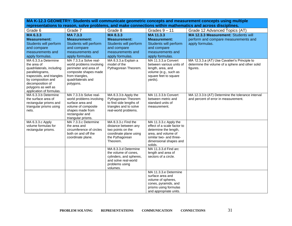**MA K-12.3 GEOMETRY: Students will communicate geometric concepts and measurement concepts using multiple representations to reason, solve problems, and make connections within mathematics and across disciplines.**

| Grade 6                                                                                                                                                                                                       | Grade 7                                                                                                                                                    | Grade 8                                                                                                                                                                   | Grades $9 - 11$                                                                                                                                                                                                    | Grade 12 Advanced Topics (AT)                                                                                 |
|---------------------------------------------------------------------------------------------------------------------------------------------------------------------------------------------------------------|------------------------------------------------------------------------------------------------------------------------------------------------------------|---------------------------------------------------------------------------------------------------------------------------------------------------------------------------|--------------------------------------------------------------------------------------------------------------------------------------------------------------------------------------------------------------------|---------------------------------------------------------------------------------------------------------------|
| MA 6.3.3                                                                                                                                                                                                      | <b>MA7.3.3</b>                                                                                                                                             | MA 8.3.3                                                                                                                                                                  | MA 11.3.3                                                                                                                                                                                                          | MA 12.3.3 Measurement: Students will                                                                          |
| <b>Measurement:</b>                                                                                                                                                                                           | <b>Measurement:</b>                                                                                                                                        | <b>Measurement:</b>                                                                                                                                                       | <b>Measurement:</b>                                                                                                                                                                                                | perform and compare measurements and                                                                          |
| Students will perform                                                                                                                                                                                         | Students will perform                                                                                                                                      | Students will perform                                                                                                                                                     | Students will perform                                                                                                                                                                                              | apply formulas.                                                                                               |
| and compare                                                                                                                                                                                                   | and compare                                                                                                                                                | and compare                                                                                                                                                               | and compare                                                                                                                                                                                                        |                                                                                                               |
| measurements and                                                                                                                                                                                              | measurements and                                                                                                                                           | measurements and                                                                                                                                                          | measurements and                                                                                                                                                                                                   |                                                                                                               |
| apply formulas.                                                                                                                                                                                               | apply formulas.                                                                                                                                            | apply formulas.                                                                                                                                                           | apply formulas.                                                                                                                                                                                                    |                                                                                                               |
| MA 6.3.3.a Determine<br>the area of<br>quadrilaterals, including<br>parallelograms,<br>trapezoids, and triangles<br>by composition and<br>decomposition of<br>polygons as well as<br>application of formulas. | MA 7.3.3.a Solve real-<br>world problems involving<br>perimeter and area of<br>composite shapes made<br>from triangles,<br>quadrilaterals and<br>polygons. | MA 8.3.3.a Explain a<br>model of the<br>Pythagorean Theorem.                                                                                                              | MA 11.3.3.a Convert<br>between various units of<br>length, area, and<br>volume (e.g., such as<br>square feet to square<br>yards).                                                                                  | MA 12.3.3.a (AT) Use Cavalieri's Principle to<br>determine the volume of a sphere and other solid<br>figures. |
| MA 6.3.3.b Determine<br>the surface area of<br>rectangular prisms and<br>triangular prisms using<br>nets.                                                                                                     | MA 7.3.3.b Solve real-<br>world problems involving<br>surface area and<br>volume of composite<br>shapes made from<br>rectangular and<br>triangular prisms. | MA 8.3.3.b Apply the<br>Pythagorean Theorem<br>to find side lengths of<br>triangles and to solve<br>real-world problems.                                                  | MA 11.3.3.b Convert<br>between metric and<br>standard units of<br>measurement.                                                                                                                                     | MA 12.3.3.b (AT) Determine the tolerance interval<br>and percent of error in measurement.                     |
| MA 6.3.3.c Apply<br>volume formulas for<br>rectangular prisms.                                                                                                                                                | MA 7.3.3.c Determine<br>the area and<br>circumference of circles<br>both on and off the<br>coordinate plane.                                               | MA 8.3.3.c Find the<br>distance between any<br>two points on the<br>coordinate plane using<br>the Pythagorean<br>Theorem.<br>MA 8.3.3.d Determine<br>the volume of cones, | MA 11.3.3.c Apply the<br>effect of a scale factor to<br>determine the length,<br>area, and volume of<br>similar two- and three-<br>dimensional shapes and<br>solids.<br>MA 11.3.3.d Find arc<br>length and area of |                                                                                                               |
|                                                                                                                                                                                                               |                                                                                                                                                            | cylinders, and spheres,<br>and solve real-world<br>problems using<br>volumes.                                                                                             | sectors of a circle.                                                                                                                                                                                               |                                                                                                               |
|                                                                                                                                                                                                               |                                                                                                                                                            |                                                                                                                                                                           | MA 11.3.3.e Determine<br>surface area and<br>volume of spheres,<br>cones, pyramids, and<br>prisms using formulas<br>and appropriate units.                                                                         |                                                                                                               |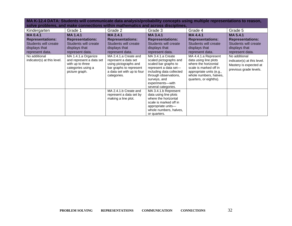| Kindergarten                                 | Grade 1                                                                                                     | Grade 2                                                                                                                                        | Grade 3                                                                                                                                                                                                       | Grade 4                                                                                                                                                                         | Grade 5                                                                                          |
|----------------------------------------------|-------------------------------------------------------------------------------------------------------------|------------------------------------------------------------------------------------------------------------------------------------------------|---------------------------------------------------------------------------------------------------------------------------------------------------------------------------------------------------------------|---------------------------------------------------------------------------------------------------------------------------------------------------------------------------------|--------------------------------------------------------------------------------------------------|
| <b>MA0.4.1</b>                               | <b>MA 1.4.1</b>                                                                                             | <b>MA 2.4.1</b>                                                                                                                                | MA 3.4.1                                                                                                                                                                                                      | <b>MA4.4.1</b>                                                                                                                                                                  | <b>MA 5.4.1</b>                                                                                  |
| <b>Representations:</b>                      | <b>Representations:</b>                                                                                     | <b>Representations:</b>                                                                                                                        | <b>Representations:</b>                                                                                                                                                                                       | <b>Representations:</b>                                                                                                                                                         | <b>Representations:</b>                                                                          |
| Students will create                         | Students will create                                                                                        | Students will create                                                                                                                           | Students will create                                                                                                                                                                                          | Students will create                                                                                                                                                            | Students will create                                                                             |
| displays that                                | displays that                                                                                               | displays that                                                                                                                                  | displays that                                                                                                                                                                                                 | displays that                                                                                                                                                                   | displays that                                                                                    |
| represent data.                              | represent data.                                                                                             | represent data.                                                                                                                                | represent data.                                                                                                                                                                                               | represent data.                                                                                                                                                                 | represent data.                                                                                  |
| No additional<br>indicator(s) at this level. | MA 1.4.1.a Organize<br>and represent a data set<br>with up to three<br>categories using a<br>picture graph. | MA 2.4.1.a Create and<br>represent a data set<br>using pictographs and<br>bar graphs to represent<br>a data set with up to four<br>categories. | MA 3.4.1.a Create<br>scaled pictographs and<br>scaled bar graphs to<br>represent a data set-<br>including data collected<br>through observations,<br>surveys, and<br>experiments--with<br>several categories. | MA 4.4.1.a Represent<br>data using line plots<br>where the horizontal<br>scale is marked off in<br>appropriate units (e.g.,<br>whole numbers, halves,<br>quarters, or eighths). | No additional<br>indicator(s) at this level.<br>Mastery is expected at<br>previous grade levels. |
|                                              |                                                                                                             | MA 2.4.1.b Create and                                                                                                                          | MA 3.4.1.b Represent                                                                                                                                                                                          |                                                                                                                                                                                 |                                                                                                  |
|                                              |                                                                                                             | represent a data set by<br>making a line plot.                                                                                                 | data using line plots<br>where the horizontal                                                                                                                                                                 |                                                                                                                                                                                 |                                                                                                  |
|                                              |                                                                                                             |                                                                                                                                                | scale is marked off in                                                                                                                                                                                        |                                                                                                                                                                                 |                                                                                                  |
|                                              |                                                                                                             |                                                                                                                                                | appropriate units-                                                                                                                                                                                            |                                                                                                                                                                                 |                                                                                                  |
|                                              |                                                                                                             |                                                                                                                                                | whole numbers, halves,                                                                                                                                                                                        |                                                                                                                                                                                 |                                                                                                  |
|                                              |                                                                                                             |                                                                                                                                                | or quarters.                                                                                                                                                                                                  |                                                                                                                                                                                 |                                                                                                  |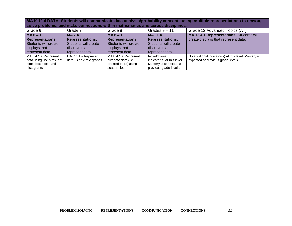| Grade 6                    | Grade 7                   | Grade 8                 | Grades $9 - 11$             | Grade 12 Advanced Topics (AT)                        |
|----------------------------|---------------------------|-------------------------|-----------------------------|------------------------------------------------------|
| MA 6.4.1                   | <b>MA7.4.1</b>            | MA 8.4.1                | MA 11.4.1                   | MA 12.4.1 Representations: Students will             |
| <b>Representations:</b>    | <b>Representations:</b>   | <b>Representations:</b> | <b>Representations:</b>     | create displays that represent data.                 |
| Students will create       | Students will create      | Students will create    | Students will create        |                                                      |
| displays that              | displays that             | displays that           | displays that               |                                                      |
| represent data.            | represent data.           | represent data.         | represent data.             |                                                      |
| MA 6.4.1.a Represent       | MA 7.4.1.a Represent      | MA 8.4.1.a Represent    | No additional               | No additional indicator(s) at this level. Mastery is |
| data using line plots, dot | data using circle graphs. | bivariate data (i.e.    | indicator(s) at this level. | expected at previous grade levels.                   |
| plots, box plots, and      |                           | ordered pairs) using    | Mastery is expected at      |                                                      |
| histograms.                |                           | scatter plots.          | previous grade levels.      |                                                      |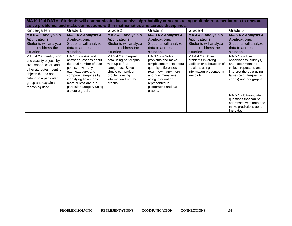| Kindergarten                                                                                                                                                                                                | Grade 1                                                                                                                                                                                                                                          | Grade 2                                                                                                                                                         | Grade 3                                                                                                                                                                                                         | Grade 4                                                                                                                            | Grade 5                                                                                                                                                                     |
|-------------------------------------------------------------------------------------------------------------------------------------------------------------------------------------------------------------|--------------------------------------------------------------------------------------------------------------------------------------------------------------------------------------------------------------------------------------------------|-----------------------------------------------------------------------------------------------------------------------------------------------------------------|-----------------------------------------------------------------------------------------------------------------------------------------------------------------------------------------------------------------|------------------------------------------------------------------------------------------------------------------------------------|-----------------------------------------------------------------------------------------------------------------------------------------------------------------------------|
| MA 0.4.2 Analysis &<br><b>Applications:</b><br>Students will analyze<br>data to address the<br>situation.                                                                                                   | MA 1.4.2 Analysis &<br><b>Applications:</b><br>Students will analyze<br>data to address the<br>situation.                                                                                                                                        | MA 2.4.2 Analysis &<br><b>Applications:</b><br>Students will analyze<br>data to address the<br>situation.                                                       | MA 3.4.2 Analysis &<br><b>Applications:</b><br>Students will analyze<br>data to address the<br>situation.                                                                                                       | MA 4.4.2 Analysis &<br><b>Applications:</b><br>Students will analyze<br>data to address the<br>situation.                          | MA 5.4.2 Analysis &<br><b>Applications:</b><br>Students will analyze<br>data to address the<br>situation.                                                                   |
| MA 0.4.2.a Identify, sort,<br>and classify objects by<br>size, shape, color, and<br>other attributes. Identify<br>objects that do not<br>belong to a particular<br>group and explain the<br>reasoning used. | MA 1.4.2.a Ask and<br>answer questions about<br>the total number of data<br>points, how many in<br>each category, and<br>compare categories by<br>identifying how many<br>more or less are in a<br>particular category using<br>a picture graph. | MA 2.4.2.a Interpret<br>data using bar graphs<br>with up to four<br>categories. Solve<br>simple comparison<br>problems using<br>information from the<br>graphs. | MA 3.4.2.a Solve<br>problems and make<br>simple statements about<br>quantity differences<br>(e.g., how many more<br>and how many less)<br>using information<br>represented in<br>pictographs and bar<br>graphs. | MA 4.4.2.a Solve<br>problems involving<br>addition or subtraction of<br>fractions using<br>information presented in<br>line plots. | MA 5.4.2.a Use<br>observations, surveys,<br>and experiments to<br>collect, represent, and<br>interpret the data using<br>tables (e.g., frequency<br>charts) and bar graphs. |
|                                                                                                                                                                                                             |                                                                                                                                                                                                                                                  |                                                                                                                                                                 |                                                                                                                                                                                                                 |                                                                                                                                    | MA 5.4.2.b Formulate<br>questions that can be<br>addressed with data and<br>make predictions about<br>the data.                                                             |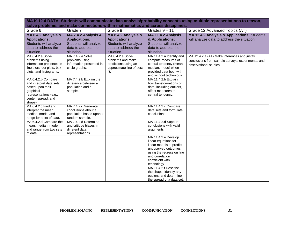| Grade 6                                       | Grade 7                                        | Grade 8                  | Grades $9 - 11$                                    | Grade 12 Advanced Topics (AT)                     |
|-----------------------------------------------|------------------------------------------------|--------------------------|----------------------------------------------------|---------------------------------------------------|
| MA 6.4.2 Analysis &                           | MA 7.4.2 Analysis &                            | MA 8.4.2 Analysis &      | MA 11.4.2 Analysis                                 | MA 12.4.2 Analysis & Applications: Students       |
| <b>Applications:</b>                          | <b>Applications:</b>                           | <b>Applications:</b>     | & Applications:                                    | will analyze data to address the situation.       |
| Students will analyze                         | Students will analyze                          | Students will analyze    | Students will analyze                              |                                                   |
| data to address the                           | data to address the                            | data to address the      | data to address the                                |                                                   |
| situation.                                    | situation.                                     | situation.               | situation.                                         |                                                   |
| MA 6.4.2.a Solve                              | MA 7.4.2.a Solve                               | MA 8.4.2.a Solve         | MA 11.4.2.a Identify and                           | MA 12.4.2.a (AT) Make inferences and justify      |
| problems using                                | problems using                                 | problems and make        | compute measures of                                | conclusions from sample surveys, experiments, and |
| information presented in                      | information presented in                       | predictions using an     | central tendency (mean,                            | observational studies.                            |
| line plots, dot plots, box                    | circle graphs.                                 | approximate line of best | median, mode) when                                 |                                                   |
| plots, and histograms.                        |                                                | fit.                     | provided data both with                            |                                                   |
| MA 6.4.2.b Compare                            | MA 7.4.2.b Explain the                         |                          | and without technology.<br>MA 11.4.2.b Explain     |                                                   |
| and interpret data sets                       | difference between a                           |                          | how transformations of                             |                                                   |
| based upon their                              | population and a                               |                          | data, including outliers,                          |                                                   |
| graphical                                     | sample.                                        |                          | affect measures of                                 |                                                   |
| representations (e.g.,                        |                                                |                          | central tendency.                                  |                                                   |
| center, spread, and                           |                                                |                          |                                                    |                                                   |
| shape).                                       |                                                |                          |                                                    |                                                   |
| MA 6.4.2.c Find and                           | MA 7.4.2.c Generate                            |                          | MA 11.4.2.c Compare                                |                                                   |
| interpret the mean,                           | conclusions about a                            |                          | data sets and formulate                            |                                                   |
| median, mode, and                             | population based upon a                        |                          | conclusions.                                       |                                                   |
| range for a set of data.                      | random sample.                                 |                          |                                                    |                                                   |
| MA 6.4.2.d Compare the<br>mean, median, mode, | MA 7.4.2.d Determine<br>and critique biases in |                          | MA 11.4.2.d Support<br>conclusions with valid      |                                                   |
| and range from two sets                       | different data                                 |                          | arguments.                                         |                                                   |
| of data.                                      | representations.                               |                          |                                                    |                                                   |
|                                               |                                                |                          | MA 11.4.2.e Develop                                |                                                   |
|                                               |                                                |                          | linear equations for                               |                                                   |
|                                               |                                                |                          | linear models to predict                           |                                                   |
|                                               |                                                |                          | unobserved outcomes                                |                                                   |
|                                               |                                                |                          | using the regression line                          |                                                   |
|                                               |                                                |                          | and correlation                                    |                                                   |
|                                               |                                                |                          | coefficient with                                   |                                                   |
|                                               |                                                |                          | technology.                                        |                                                   |
|                                               |                                                |                          | MA 11.4.2.f Describe                               |                                                   |
|                                               |                                                |                          | the shape, identify any<br>outliers, and determine |                                                   |
|                                               |                                                |                          | the spread of a data set.                          |                                                   |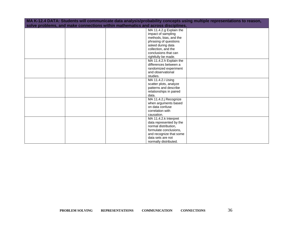| MA K-12.4 DATA: Students will communicate data analysis/probability concepts using multiple representations to reason, |  |                         |  |  |
|------------------------------------------------------------------------------------------------------------------------|--|-------------------------|--|--|
| solve problems, and make connections within mathematics and across disciplines.                                        |  |                         |  |  |
|                                                                                                                        |  | MA 11.4.2.g Explain the |  |  |
|                                                                                                                        |  | impact of sampling      |  |  |
|                                                                                                                        |  | methods, bias, and the  |  |  |
|                                                                                                                        |  | phrasing of questions   |  |  |
|                                                                                                                        |  | asked during data       |  |  |
|                                                                                                                        |  | collection, and the     |  |  |
|                                                                                                                        |  | conclusions that can    |  |  |
|                                                                                                                        |  | rightfully be made.     |  |  |
|                                                                                                                        |  | MA 11.4.2.h Explain the |  |  |
|                                                                                                                        |  | differences between a   |  |  |
|                                                                                                                        |  | randomized experiment   |  |  |
|                                                                                                                        |  | and observational       |  |  |
|                                                                                                                        |  | studies.                |  |  |
|                                                                                                                        |  | MA 11.4.2.i Using       |  |  |
|                                                                                                                        |  | scatter plots, analyze  |  |  |
|                                                                                                                        |  | patterns and describe   |  |  |
|                                                                                                                        |  | relationships in paired |  |  |
|                                                                                                                        |  | data.                   |  |  |
|                                                                                                                        |  | MA 11.4.2.j Recognize   |  |  |
|                                                                                                                        |  | when arguments based    |  |  |
|                                                                                                                        |  | on data confuse         |  |  |
|                                                                                                                        |  | correlation with        |  |  |
|                                                                                                                        |  | causation.              |  |  |
|                                                                                                                        |  | MA 11.4.2.k Interpret   |  |  |
|                                                                                                                        |  | data represented by the |  |  |
|                                                                                                                        |  | normal distribution,    |  |  |
|                                                                                                                        |  | formulate conclusions,  |  |  |
|                                                                                                                        |  | and recognize that some |  |  |
|                                                                                                                        |  | data sets are not       |  |  |
|                                                                                                                        |  | normally distributed.   |  |  |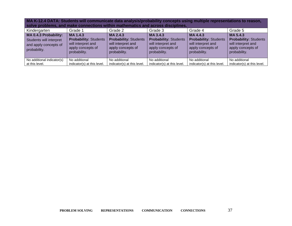| Kindergarten                                                                              | Grade 1                                                                                             | Grade 2                                                                                             | Grade 3                                                                                             | Grade 4                                                                                            | Grade 5                                                                                             |
|-------------------------------------------------------------------------------------------|-----------------------------------------------------------------------------------------------------|-----------------------------------------------------------------------------------------------------|-----------------------------------------------------------------------------------------------------|----------------------------------------------------------------------------------------------------|-----------------------------------------------------------------------------------------------------|
| MA 0.4.3 Probability:<br>Students will interpret<br>and apply concepts of<br>probability. | MA 1.4.3<br><b>Probability: Students</b><br>will interpret and<br>apply concepts of<br>probability. | MA 2.4.3<br><b>Probability: Students</b><br>will interpret and<br>apply concepts of<br>probability. | MA 3.4.3<br><b>Probability: Students</b><br>will interpret and<br>apply concepts of<br>probability. | MA4.4.3<br><b>Probability: Students</b><br>will interpret and<br>apply concepts of<br>probability. | MA 5.4.3<br><b>Probability: Students</b><br>will interpret and<br>apply concepts of<br>probability. |
| No additional indicator(s)<br>at this level.                                              | No additional<br>indicator(s) at this level.                                                        | No additional<br>indicator(s) at this level.                                                        | No additional<br>indicator(s) at this level.                                                        | No additional<br>indicator(s) at this level.                                                       | No additional<br>indicator(s) at this level.                                                        |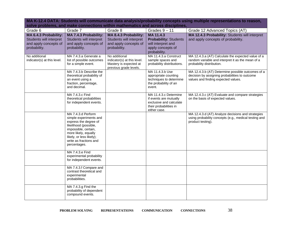| Grade 6                                                                                   | Grade 7                                                                                                                                                                                                              | Grade 8                                                                                          | Grades $9 - 11$                                                                                                      | Grade 12 Advanced Topics (AT)                                                                                                              |
|-------------------------------------------------------------------------------------------|----------------------------------------------------------------------------------------------------------------------------------------------------------------------------------------------------------------------|--------------------------------------------------------------------------------------------------|----------------------------------------------------------------------------------------------------------------------|--------------------------------------------------------------------------------------------------------------------------------------------|
| MA 6.4.3 Probability:<br>Students will interpret<br>and apply concepts of<br>probability. | MA 7.4.3 Probability:<br><b>Students will interpret</b><br>and apply concepts of<br>probability.                                                                                                                     | MA 8.4.3 Probability:<br>Students will interpret<br>and apply concepts of<br>probability.        | MA 11.4.3<br><b>Probability: Students</b><br>will interpret and<br>apply concepts of<br>probability.                 | MA 12.4.3 Probability: Students will interpret<br>and apply concepts of probability.                                                       |
| No additional<br>indicator(s) at this level.                                              | MA 7.4.3.a Generate a<br>list of possible outcomes<br>for a simple event.                                                                                                                                            | No additional<br>indicator(s) at this level.<br>Mastery is expected at<br>previous grade levels. | MA 11.4.3.a Construct<br>sample spaces and<br>probability distributions.                                             | MA 12.4.3.a (AT) Calculate the expected value of a<br>random variable and interpret it as the mean of a<br>probability distribution.       |
|                                                                                           | MA 7.4.3.b Describe the<br>theoretical probability of<br>an event using a<br>fraction, percentage,<br>and decimal.                                                                                                   |                                                                                                  | MA 11.4.3.b Use<br>appropriate counting<br>techniques to determine<br>the probability of an<br>event.                | MA 12.4.3.b (AT) Determine possible outcomes of a<br>decision by assigning probabilities to outcome<br>values and finding expected values. |
|                                                                                           | MA 7.4.3.c Find<br>theoretical probabilities<br>for independent events.                                                                                                                                              |                                                                                                  | MA 11.4.3.c Determine<br>if events are mutually<br>exclusive and calculate<br>their probabilities in<br>either case. | MA 12.4.3.c (AT) Evaluate and compare strategies<br>on the basis of expected values.                                                       |
|                                                                                           | MA 7.4.3.d Perform<br>simple experiments and<br>express the degree of<br>likelihood (possible,<br>impossible, certain,<br>more likely, equally<br>likely, or less likely);<br>write as fractions and<br>percentages. |                                                                                                  |                                                                                                                      | MA 12.4.3.d (AT) Analyze decisions and strategies<br>using probability concepts (e.g., medical testing and<br>product testing).            |
|                                                                                           | MA 7.4.3.e Find<br>experimental probability<br>for independent events.                                                                                                                                               |                                                                                                  |                                                                                                                      |                                                                                                                                            |
|                                                                                           | MA 7.4.3.f Compare and<br>contrast theoretical and<br>experimental<br>probabilities.                                                                                                                                 |                                                                                                  |                                                                                                                      |                                                                                                                                            |
|                                                                                           | MA 7.4.3.g Find the<br>probability of dependent<br>compound events.                                                                                                                                                  |                                                                                                  |                                                                                                                      |                                                                                                                                            |